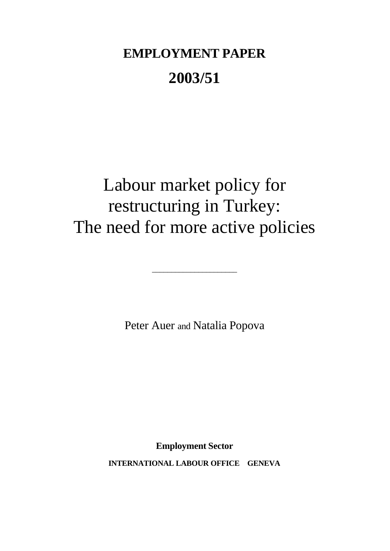# **EMPLOYMENT PAPER 2003/51**

# Labour market policy for restructuring in Turkey: The need for more active policies

Peter Auer and Natalia Popova

 $\frac{1}{2}$  , and the set of the set of the set of the set of the set of the set of the set of the set of the set of the set of the set of the set of the set of the set of the set of the set of the set of the set of the set

**Employment Sector INTERNATIONAL LABOUR OFFICE GENEVA**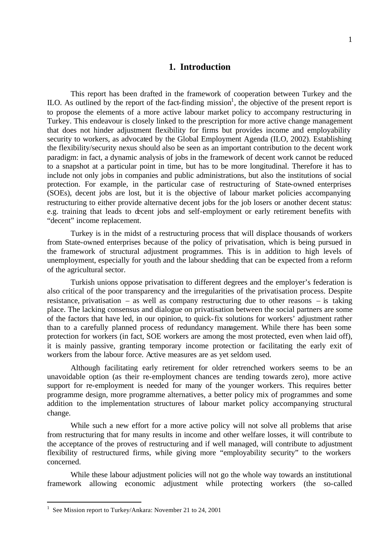## **1. Introduction**

This report has been drafted in the framework of cooperation between Turkey and the ILO. As outlined by the report of the fact-finding mission<sup>1</sup>, the objective of the present report is to propose the elements of a more active labour market policy to accompany restructuring in Turkey. This endeavour is closely linked to the prescription for more active change management that does not hinder adjustment flexibility for firms but provides income and employability security to workers, as advocated by the Global Employment Agenda (ILO, 2002). Establishing the flexibility/security nexus should also be seen as an important contribution to the decent work paradigm: in fact, a dynamic analysis of jobs in the framework of decent work cannot be reduced to a snapshot at a particular point in time, but has to be more longitudinal. Therefore it has to include not only jobs in companies and public administrations, but also the institutions of social protection. For example, in the particular case of restructuring of State-owned enterprises (SOEs), decent jobs are lost, but it is the objective of labour market policies accompanying restructuring to either provide alternative decent jobs for the job losers or another decent status: e.g. training that leads to decent jobs and self-employment or early retirement benefits with "decent" income replacement.

Turkey is in the midst of a restructuring process that will displace thousands of workers from State-owned enterprises because of the policy of privatisation, which is being pursued in the framework of structural adjustment programmes. This is in addition to high levels of unemployment, especially for youth and the labour shedding that can be expected from a reform of the agricultural sector.

Turkish unions oppose privatisation to different degrees and the employer's federation is also critical of the poor transparency and the irregularities of the privatisation process. Despite resistance, privatisation – as well as company restructuring due to other reasons – is taking place. The lacking consensus and dialogue on privatisation between the social partners are some of the factors that have led, in our opinion, to quick-fix solutions for workers' adjustment rather than to a carefully planned process of redundancy management. While there has been some protection for workers (in fact, SOE workers are among the most protected, even when laid off), it is mainly passive, granting temporary income protection or facilitating the early exit of workers from the labour force. Active measures are as yet seldom used.

Although facilitating early retirement for older retrenched workers seems to be an unavoidable option (as their re-employment chances are tending towards zero), more active support for re-employment is needed for many of the younger workers. This requires better programme design, more programme alternatives, a better policy mix of programmes and some addition to the implementation structures of labour market policy accompanying structural change.

While such a new effort for a more active policy will not solve all problems that arise from restructuring that for many results in income and other welfare losses, it will contribute to the acceptance of the proves of restructuring and if well managed, will contribute to adjustment flexibility of restructured firms, while giving more "employability security" to the workers concerned.

While these labour adjustment policies will not go the whole way towards an institutional framework allowing economic adjustment while protecting workers (the so-called

<sup>&</sup>lt;sup>1</sup> See Mission report to Turkey/Ankara: November 21 to 24, 2001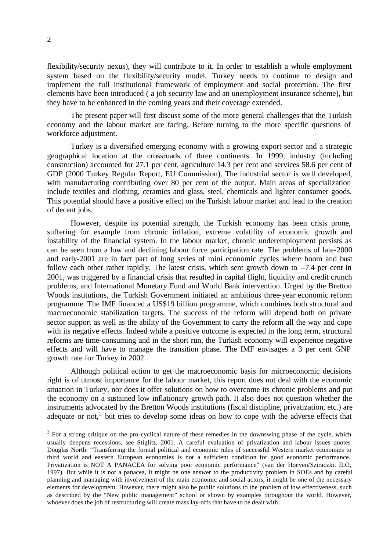flexibility/security nexus), they will contribute to it. In order to establish a whole employment system based on the flexibility/security model, Turkey needs to continue to design and implement the full institutional framework of employment and social protection. The first elements have been introduced ( a job security law and an unemployment insurance scheme), but they have to be enhanced in the coming years and their coverage extended.

The present paper will first discuss some of the more general challenges that the Turkish economy and the labour market are facing. Before turning to the more specific questions of workforce adjustment.

Turkey is a diversified emerging economy with a growing export sector and a strategic geographical location at the crossroads of three continents. In 1999, industry (including construction) accounted for 27.1 per cent, agriculture 14.3 per cent and services 58.6 per cent of GDP (2000 Turkey Regular Report, EU Commission). The industrial sector is well developed, with manufacturing contributing over 80 per cent of the output. Main areas of specialization include textiles and clothing, ceramics and glass, steel, chemicals and lighter consumer goods. This potential should have a positive effect on the Turkish labour market and lead to the creation of decent jobs.

However, despite its potential strength, the Turkish economy has been crisis prone, suffering for example from chronic inflation, extreme volatility of economic growth and instability of the financial system. In the labour market, chronic underemployment persists as can be seen from a low and declining labour force participation rate. The problems of late-2000 and early-2001 are in fact part of long series of mini economic cycles where boom and bust follow each other rather rapidly. The latest crisis, which sent growth down to  $-7.4$  per cent in 2001, was triggered by a financial crisis that resulted in capital flight, liquidity and credit crunch problems, and International Monetary Fund and World Bank intervention. Urged by the Bretton Woods institutions, the Turkish Government initiated an ambitious three-year economic reform programme. The IMF financed a US\$19 billion programme, which combines both structural and macroeconomic stabilization targets. The success of the reform will depend both on private sector support as well as the ability of the Government to carry the reform all the way and cope with its negative effects. Indeed while a positive outcome is expected in the long term, structural reforms are time-consuming and in the short run, the Turkish economy will experience negative effects and will have to manage the transition phase. The IMF envisages a 3 per cent GNP growth rate for Turkey in 2002.

Although political action to get the macroeconomic basis for microeconomic decisions right is of utmost importance for the labour market, this report does not deal with the economic situation in Turkey, nor does it offer solutions on how to overcome its chronic problems and put the economy on a sustained low inflationary growth path. It also does not question whether the instruments advocated by the Bretton Woods institutions (fiscal discipline, privatization, etc.) are adequate or not,<sup>2</sup> but tries to develop some ideas on how to cope with the adverse effects that

 $2^2$  For a strong critique on the pro-cyclical nature of these remedies in the downswing phase of the cycle, which usually deepens recessions, see Stiglitz, 2001. A careful evaluation of privatization and labour issues quotes Douglas North: "Transferring the formal political and economic rules of successful Western market economies to third world and eastern European economies is not a sufficient condition for good economic performance. Privatization is NOT A PANACEA for solving poor economic performance" (van der Hoeven/Sziraczki, ILO, 1997). But while it is not a panacea, it might be one answer to the productivity problem in SOEs and by careful planning and managing with involvement of the main economic and social actors, it might be one of the necessary elements for development. However, there might also be public solutions to the problem of low effectiveness, such as described by the "New public management" school or shown by examples throughout the world. However, whoever does the job of restructuring will create mass lay-offs that have to be dealt with.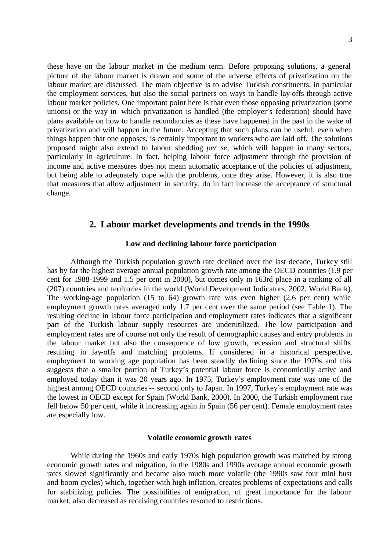these have on the labour market in the medium term. Before proposing solutions, a general picture of the labour market is drawn and some of the adverse effects of privatization on the labour market are discussed. The main objective is to advise Turkish constituents, in particular the employment services, but also the social partners on ways to handle lay-offs through active labour market policies. One important point here is that even those opposing privatization (some unions) or the way in which privatization is handled (the employer's federation) should have plans available on how to handle redundancies as these have happened in the past in the wake of privatization and will happen in the future. Accepting that such plans can be useful, even when things happen that one opposes, is certainly important to workers who are laid off. The solutions proposed might also extend to labour shedding *per se,* which will happen in many sectors, particularly in agriculture. In fact, helping labour force adjustment through the provision of income and active measures does not mean automatic acceptance of the policies of adjustment, but being able to adequately cope with the problems, once they arise. However, it is also true that measures that allow adjustment in security, do in fact increase the acceptance of structural change.

## **2. Labour market developments and trends in the 1990s**

#### **Low and declining labour force participation**

Although the Turkish population growth rate declined over the last decade, Turkey still has by far the highest average annual population growth rate among the OECD countries (1.9 per cent for 1988-1999 and 1.5 per cent in 2000), but comes only in 163rd place in a ranking of all (207) countries and territories in the world (World Development Indicators, 2002, World Bank). The working-age population (15 to 64) growth rate was even higher (2.6 per cent) while employment growth rates averaged only 1.7 per cent over the same period (see Table 1). The resulting decline in labour force participation and employment rates indicates that a significant part of the Turkish labour supply resources are underutilized. The low participation and employment rates are of course not only the result of demographic causes and entry problems in the labour market but also the consequence of low growth, recession and structural shifts resulting in lay-offs and matching problems. If considered in a historical perspective, employment to working age population has been steadily declining since the 1970s and this suggests that a smaller portion of Turkey's potential labour force is economically active and employed today than it was 20 years ago. In 1975, Turkey's employment rate was one of the highest among OECD countries -- second only to Japan. In 1997, Turkey's employment rate was the lowest in OECD except for Spain (World Bank, 2000). In 2000, the Turkish employment rate fell below 50 per cent, while it increasing again in Spain (56 per cent). Female employment rates are especially low.

#### **Volatile economic growth rates**

While during the 1960s and early 1970s high population growth was matched by strong economic growth rates and migration, in the 1980s and 1990s average annual economic growth rates slowed significantly and became also much more volatile (the 1990s saw four mini bust and boom cycles) which, together with high inflation, creates problems of expectations and calls for stabilizing policies. The possibilities of emigration, of great importance for the labour market, also decreased as receiving countries resorted to restrictions.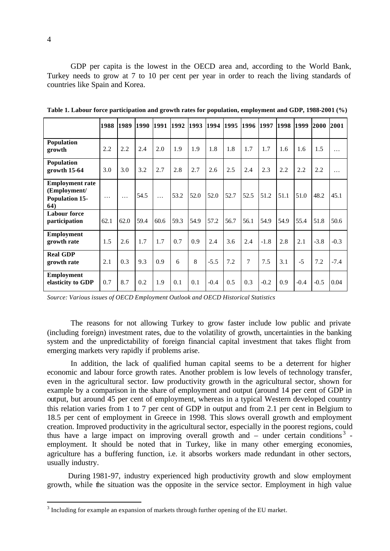GDP per capita is the lowest in the OECD area and, according to the World Bank, Turkey needs to grow at 7 to 10 per cent per year in order to reach the living standards of countries like Spain and Korea.

|                                                                         | 1988     | 1989     | 1990 | 1991     | 1992 | 1993 1994 |        | 1995 | 1996 1997 |        | 1998 | 1999   | 2000 2001 |        |
|-------------------------------------------------------------------------|----------|----------|------|----------|------|-----------|--------|------|-----------|--------|------|--------|-----------|--------|
| Population<br>growth                                                    | 2.2      | 2.2      | 2.4  | 2.0      | 1.9  | 1.9       | 1.8    | 1.8  | 1.7       | 1.7    | 1.6  | 1.6    | 1.5       | .      |
| Population<br>growth $15-64$                                            | 3.0      | 3.0      | 3.2  | 2.7      | 2.8  | 2.7       | 2.6    | 2.5  | 2.4       | 2.3    | 2.2  | 2.2    | 2.2       | .      |
| <b>Employment rate</b><br>(Employment/<br>Population 15-<br><b>64</b> ) | $\cdots$ | $\cdots$ | 54.5 | $\cdots$ | 53.2 | 52.0      | 52.0   | 52.7 | 52.5      | 51.2   | 51.1 | 51.0   | 48.2      | 45.1   |
| <b>Labour force</b><br>participation                                    | 62.1     | 62.0     | 59.4 | 60.6     | 59.3 | 54.9      | 57.2   | 56.7 | 56.1      | 54.9   | 54.9 | 55.4   | 51.8      | 50.6   |
| <b>Employment</b><br>growth rate                                        | 1.5      | 2.6      | 1.7  | 1.7      | 0.7  | 0.9       | 2.4    | 3.6  | 2.4       | $-1.8$ | 2.8  | 2.1    | $-3.8$    | $-0.3$ |
| <b>Real GDP</b><br>growth rate                                          | 2.1      | 0.3      | 9.3  | 0.9      | 6    | 8         | $-5.5$ | 7.2  | 7         | 7.5    | 3.1  | $-5$   | 7.2       | $-7.4$ |
| <b>Employment</b><br>elasticity to GDP                                  | 0.7      | 8.7      | 0.2  | 1.9      | 0.1  | 0.1       | $-0.4$ | 0.5  | 0.3       | $-0.2$ | 0.9  | $-0.4$ | $-0.5$    | 0.04   |

**Table 1. Labour force participation and growth rates for population, employment and GDP, 1988-2001 (%)** 

*Source: Various issues of OECD Employment Outlook and OECD Historical Statistics*

The reasons for not allowing Turkey to grow faster include low public and private (including foreign) investment rates, due to the volatility of growth, uncertainties in the banking system and the unpredictability of foreign financial capital investment that takes flight from emerging markets very rapidly if problems arise.

In addition, the lack of qualified human capital seems to be a deterrent for higher economic and labour force growth rates. Another problem is low levels of technology transfer, even in the agricultural sector. Low productivity growth in the agricultural sector, shown for example by a comparison in the share of employment and output (around 14 per cent of GDP in output, but around 45 per cent of employment, whereas in a typical Western developed country this relation varies from 1 to 7 per cent of GDP in output and from 2.1 per cent in Belgium to 18.5 per cent of employment in Greece in 1998. This slows overall growth and employment creation. Improved productivity in the agricultural sector, especially in the poorest regions, could thus have a large impact on improving overall growth and  $-$  under certain conditions<sup>3</sup> employment. It should be noted that in Turkey, like in many other emerging economies, agriculture has a buffering function, i.e. it absorbs workers made redundant in other sectors, usually industry.

 During 1981-97, industry experienced high productivity growth and slow employment growth, while the situation was the opposite in the service sector. Employment in high value

 $3$  Including for example an expansion of markets through further opening of the EU market.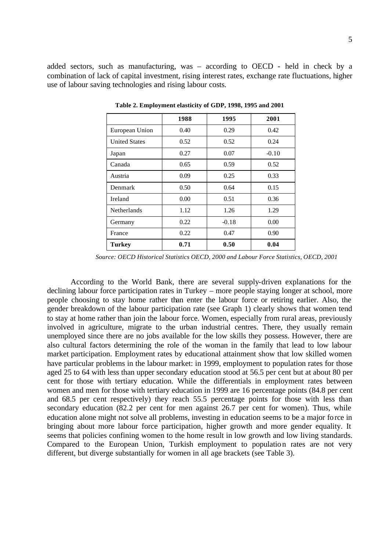added sectors, such as manufacturing, was – according to OECD - held in check by a combination of lack of capital investment, rising interest rates, exchange rate fluctuations, higher use of labour saving technologies and rising labour costs.

|                      | 1988 | 1995    | 2001    |
|----------------------|------|---------|---------|
| European Union       | 0.40 | 0.29    | 0.42    |
| <b>United States</b> | 0.52 | 0.52    | 0.24    |
| Japan                | 0.27 | 0.07    | $-0.10$ |
| Canada               | 0.65 | 0.59    | 0.52    |
| Austria              | 0.09 | 0.25    | 0.33    |
| Denmark              | 0.50 | 0.64    | 0.15    |
| Ireland              | 0.00 | 0.51    | 0.36    |
| Netherlands          | 1.12 | 1.26    | 1.29    |
| Germany              | 0.22 | $-0.18$ | 0.00    |
| France               | 0.22 | 0.47    | 0.90    |
| <b>Turkey</b>        | 0.71 | 0.50    | 0.04    |

**Table 2. Employment elasticity of GDP, 1998, 1995 and 2001**

*Source: OECD Historical Statistics OECD, 2000 and Labour Force Statistics, OECD, 2001* 

According to the World Bank, there are several supply-driven explanations for the declining labour force participation rates in Turkey – more people staying longer at school, more people choosing to stay home rather than enter the labour force or retiring earlier. Also, the gender breakdown of the labour participation rate (see Graph 1) clearly shows that women tend to stay at home rather than join the labour force. Women, especially from rural areas, previously involved in agriculture, migrate to the urban industrial centres. There, they usually remain unemployed since there are no jobs available for the low skills they possess. However, there are also cultural factors determining the role of the woman in the family that lead to low labour market participation. Employment rates by educational attainment show that low skilled women have particular problems in the labour market: in 1999, employment to population rates for those aged 25 to 64 with less than upper secondary education stood at 56.5 per cent but at about 80 per cent for those with tertiary education. While the differentials in employment rates between women and men for those with tertiary education in 1999 are 16 percentage points (84.8 per cent and 68.5 per cent respectively) they reach 55.5 percentage points for those with less than secondary education (82.2 per cent for men against 26.7 per cent for women). Thus, while education alone might not solve all problems, investing in education seems to be a major force in bringing about more labour force participation, higher growth and more gender equality. It seems that policies confining women to the home result in low growth and low living standards. Compared to the European Union, Turkish employment to population rates are not very different, but diverge substantially for women in all age brackets (see Table 3).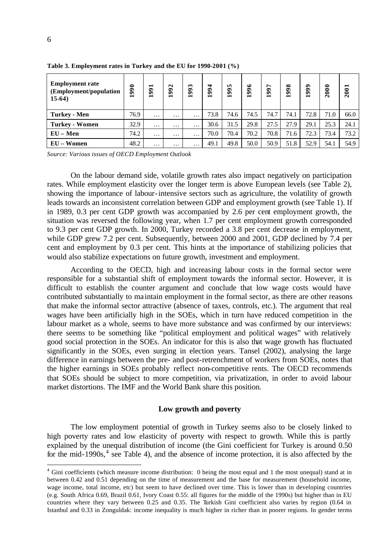| <b>Employment rate</b><br>(Employment/population<br>$15-64)$ | 990<br>$\overline{\phantom{0}}$ | ⊣<br>99<br>$\overline{\phantom{0}}$ | 992<br>$\overline{\phantom{0}}$ | 1993              | 994<br>− | 995<br>$\overline{\phantom{0}}$ | 1996 | 997<br>$\overline{\phantom{0}}$ | 998<br>⊣ | 999<br>$\overline{\phantom{0}}$ | $\frac{8}{2}$<br>$\bar{\mathbf{N}}$ | 2001 |
|--------------------------------------------------------------|---------------------------------|-------------------------------------|---------------------------------|-------------------|----------|---------------------------------|------|---------------------------------|----------|---------------------------------|-------------------------------------|------|
| <b>Turkey - Men</b>                                          | 76.9                            | $\cdots$                            | $\cdots$                        | $\cdots$          | 73.8     | 74.6                            | 74.5 | 74.7                            | 74.1     | 72.8                            | 71.0                                | 66.0 |
| <b>Turkey - Women</b>                                        | 32.9                            | $\cdots$                            | $\cdots$                        | $\cdot\cdot\cdot$ | 30.6     | 31.5                            | 29.8 | 27.5                            | 27.9     | 29.1                            | 25.3                                | 24.1 |
| $EU-Men$                                                     | 74.2                            | $\cdots$                            | $\cdots$                        | $\cdots$          | 70.0     | 70.4                            | 70.2 | 70.8                            | 71.6     | 72.3                            | 73.4                                | 73.2 |
| $EU-Women$                                                   | 48.2                            | $\cdots$                            | $\cdots$                        | $\cdots$          | 49.1     | 49.8                            | 50.0 | 50.9                            | 51.8     | 52.9                            | 54.1                                | 54.9 |

**Table 3. Employment rates in Turkey and the EU for 1990-2001 (%)**

*Source: Various issues of OECD Employment Outlook* 

On the labour demand side, volatile growth rates also impact negatively on participation rates. While employment elasticity over the longer term is above European levels (see Table 2), showing the importance of labour-intensive sectors such as agriculture, the volatility of growth leads towards an inconsistent correlation between GDP and employment growth (see Table 1). If in 1989, 0.3 per cent GDP growth was accompanied by 2.6 per cent employment growth, the situation was reversed the following year, when 1.7 per cent employment growth corresponded to 9.3 per cent GDP growth. In 2000, Turkey recorded a 3.8 per cent decrease in employment, while GDP grew 7.2 per cent. Subsequently, between 2000 and 2001, GDP declined by 7.4 per cent and employment by 0.3 per cent. This hints at the importance of stabilizing policies that would also stabilize expectations on future growth, investment and employment.

According to the OECD, high and increasing labour costs in the formal sector were responsible for a substantial shift of employment towards the informal sector. However, it is difficult to establish the counter argument and conclude that low wage costs would have contributed substantially to ma intain employment in the formal sector, as there are other reasons that make the informal sector attractive (absence of taxes, controls, etc.). The argument that real wages have been artificially high in the SOEs, which in turn have reduced competition in the labour market as a whole, seems to have more substance and was confirmed by our interviews: there seems to be something like "political employment and political wages" with relatively good social protection in the SOEs. An indicator for this is also that wage growth has fluctuated significantly in the SOEs, even surging in election years. Tansel (2002), analysing the large difference in earnings between the pre- and post-retrenchment of workers from SOEs, notes that the higher earnings in SOEs probably reflect non-competitive rents. The OECD recommends that SOEs should be subject to more competition, via privatization, in order to avoid labour market distortions. The IMF and the World Bank share this position.

#### **Low growth and poverty**

The low employment potential of growth in Turkey seems also to be closely linked to high poverty rates and low elasticity of poverty with respect to growth. While this is partly explained by the unequal distribution of income (the Gini coefficient for Turkey is around 0.50 for the mid-1990s, $4$  see Table 4), and the absence of income protection, it is also affected by the

<sup>&</sup>lt;sup>4</sup> Gini coefficients (which measure income distribution: 0 being the most equal and 1 the most unequal) stand at in between 0.42 and 0.51 depending on the time of measurement and the base for measurement (household income, wage income, total income, etc) but seem to have declined over time. This is lower than in developing countries (e.g. South Africa 0.69, Brazil 0.61, Ivory Coast 0.55: all figures for the middle of the 1990s) but higher than in EU countries where they vary between 0.25 and 0.35. The Turkish Gini coefficient also varies by region (0.64 in Istanbul and 0.33 in Zonguldak: income inequality is much higher in richer than in poorer regions. In gender terms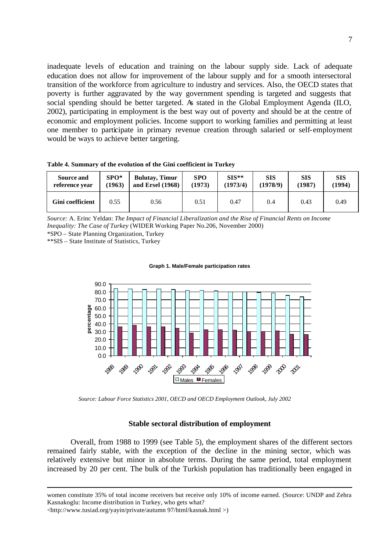inadequate levels of education and training on the labour supply side. Lack of adequate education does not allow for improvement of the labour supply and for a smooth intersectoral transition of the workforce from agriculture to industry and services. Also, the OECD states that poverty is further aggravated by the way government spending is targeted and suggests that social spending should be better targeted. As stated in the Global Employment Agenda (ILO, 2002), participating in employment is the best way out of poverty and should be at the centre of economic and employment policies. Income support to working families and permitting at least one member to participate in primary revenue creation through salaried or self-employment would be ways to achieve better targeting.

**Table 4. Summary of the evolution of the Gini coefficient in Turkey**

| Source and       | $SPO*$ | <b>Bulutay, Timur</b> | <b>SPO</b> | $SIS**$  | SIS      | <b>SIS</b> | <b>SIS</b> |
|------------------|--------|-----------------------|------------|----------|----------|------------|------------|
| reference vear   | (1963) | and Ersel (1968)      | (1973)     | (1973/4) | (1978/9) | (1987)     | (1994)     |
| Gini coefficient | 0.55   | 0.56                  | 0.51       | 0.47     | 0.4      | 0.43       | 0.49       |

*Source:* A. Erinc Yeldan: *The Impact of Financial Liberalization and the Rise of Financial Rents on Income Inequality: The Case of Turkey* (WIDER Working Paper No.206, November 2000) \*SPO – State Planning Organization, Turkey

\*\*SIS – State Institute of Statistics, Turkey



#### **Graph 1. Male/Female participation rates**

*Source: Labour Force Statistics 2001, OECD and OECD Employment Outlook, July 2002*

## **Stable sectoral distribution of employment**

Overall, from 1988 to 1999 (see Table 5), the employment shares of the different sectors remained fairly stable, with the exception of the decline in the mining sector, which was relatively extensive but minor in absolute terms. During the same period, total employment increased by 20 per cent. The bulk of the Turkish population has traditionally been engaged in

women constitute 35% of total income receivers but receive only 10% of income earned. (Source: UNDP and Zehra Kasnakoglu: Income distribution in Turkey, who gets what?

<http://www.tusiad.org/yayin/private/autumn 97/html/kasnak.html >)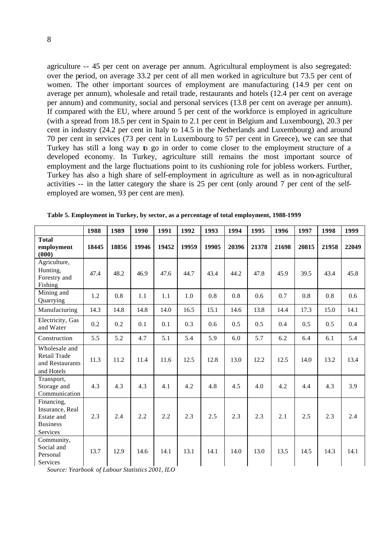agriculture -- 45 per cent on average per annum. Agricultural employment is also segregated: over the period, on average 33.2 per cent of all men worked in agriculture but 73.5 per cent of women. The other important sources of employment are manufacturing (14.9 per cent on average per annum), wholesale and retail trade, restaurants and hotels (12.4 per cent on average per annum) and community, social and personal services (13.8 per cent on average per annum). If compared with the EU, where around 5 per cent of the workforce is employed in agriculture (with a spread from 18.5 per cent in Spain to 2.1 per cent in Belgium and Luxembourg), 20.3 per cent in industry (24.2 per cent in Italy to 14.5 in the Netherlands and Luxembourg) and around 70 per cent in services (73 per cent in Luxembourg to 57 per cent in Greece), we can see that Turkey has still a long way to go in order to come closer to the employment structure of a developed economy. In Turkey, agriculture still remains the most important source of employment and the large fluctuations point to its cushioning role for jobless workers. Further, Turkey has also a high share of self-employment in agriculture as well as in non-agricultural activities -- in the latter category the share is 25 per cent (only around 7 per cent of the selfemployed are women, 93 per cent are men).

|                                                                            | 1988  | 1989  | 1990  | 1991  | 1992  | 1993  | 1994  | 1995  | 1996  | 1997  | 1998  | 1999  |
|----------------------------------------------------------------------------|-------|-------|-------|-------|-------|-------|-------|-------|-------|-------|-------|-------|
| <b>Total</b><br>employment<br>(000)                                        | 18445 | 18856 | 19946 | 19452 | 19959 | 19905 | 20396 | 21378 | 21698 | 20815 | 21958 | 22049 |
| Agriculture,<br>Hunting,<br>Forestry and<br>Fishing                        | 47.4  | 48.2  | 46.9  | 47.6  | 44.7  | 43.4  | 44.2  | 47.8  | 45.9  | 39.5  | 43.4  | 45.8  |
| Mining and<br>Quarrying                                                    | 1.2   | 0.8   | 1.1   | 1.1   | 1.0   | 0.8   | 0.8   | 0.6   | 0.7   | 0.8   | 0.8   | 0.6   |
| Manufacturing                                                              | 14.3  | 14.8  | 14.8  | 14.0  | 16.5  | 15.1  | 14.6  | 13.8  | 14.4  | 17.3  | 15.0  | 14.1  |
| Electricity, Gas<br>and Water                                              | 0.2   | 0.2   | 0.1   | 0.1   | 0.3   | 0.6   | 0.5   | 0.5   | 0.4   | 0.5   | 0.5   | 0.4   |
| Construction                                                               | 5.5   | 5.2   | 4.7   | 5.1   | 5.4   | 5.9   | 6.0   | 5.7   | 6.2   | 6.4   | 6.1   | 5.4   |
| Wholesale and<br>Retail Trade<br>and Restaurants<br>and Hotels             | 11.3  | 11.2  | 11.4  | 11.6  | 12.5  | 12.8  | 13.0  | 12.2  | 12.5  | 14.0  | 13.2  | 13.4  |
| Transport,<br>Storage and<br>Communication                                 | 4.3   | 4.3   | 4.3   | 4.1   | 4.2   | 4.8   | 4.5   | 4.0   | 4.2   | 4.4   | 4.3   | 3.9   |
| Financing,<br>Insurance, Real<br>Estate and<br><b>Business</b><br>Services | 2.3   | 2.4   | 2.2   | 2.2   | 2.3   | 2.5   | 2.3   | 2.3   | 2.1   | 2.5   | 2.3   | 2.4   |
| Community,<br>Social and<br>Personal<br>Services                           | 13.7  | 12.9  | 14.6  | 14.1  | 13.1  | 14.1  | 14.0  | 13.0  | 13.5  | 14.5  | 14.3  | 14.1  |

**Table 5. Employment in Turkey, by sector, as a percentage of total employment, 1988-1999**

*Source: Yearbook of Labour Statistics 2001, ILO*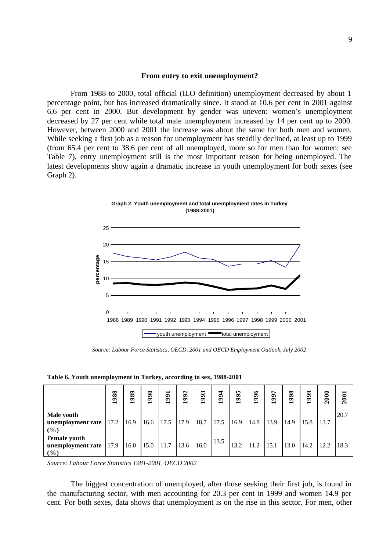#### **From entry to exit unemployment?**

From 1988 to 2000, total official (ILO definition) unemployment decreased by about 1 percentage point, but has increased dramatically since. It stood at 10.6 per cent in 2001 against 6.6 per cent in 2000. But development by gender was uneven: women's unemployment decreased by 27 per cent while total male unemployment increased by 14 per cent up to 2000. However, between 2000 and 2001 the increase was about the same for both men and women. While seeking a first job as a reason for unemployment has steadily declined, at least up to 1999 (from 65.4 per cent to 38.6 per cent of all unemployed, more so for men than for women: see Table 7), entry unemployment still is the most important reason for being unemployed. The latest developments show again a dramatic increase in youth unemployment for both sexes (see Graph 2).



**Graph 2. Youth unemployment and total unemployment rates in Turkey (1988-2001)**

 *Source: Labour Force Statistics, OECD, 2001 and OECD Employment Outlook, July 2002* 

|  | Table 6. Youth unemployment in Turkey, according to sex, 1988-2001 |  |  |
|--|--------------------------------------------------------------------|--|--|
|  |                                                                    |  |  |

|                                               | 988  | 989<br>$\overline{\phantom{0}}$ | $\frac{66}{3}$ | ⊣<br>$\mathbf{g}$<br>$\overline{\phantom{0}}$ | 1992 | 1993 | 1994 | <b>In</b><br>$\mathbf{S}$ | ७<br>Š, | ↖<br>Š<br>$\blacksquare$ | 998<br>$\overline{}$ | 999<br>$\blacksquare$ | 2000 | 2001 |
|-----------------------------------------------|------|---------------------------------|----------------|-----------------------------------------------|------|------|------|---------------------------|---------|--------------------------|----------------------|-----------------------|------|------|
| <b>Male youth</b><br>unemployment rate<br>(%) | 17.2 | 16.9                            | 16.6           | 17.5                                          | 17.9 | 18.7 | 17.5 | 16.9                      | 14.8    | 13.9                     | 14.9                 | 15.8                  | 13.7 | 20.7 |
| Female youth<br>unemployment rate<br>$(\%)$   | 17.9 | 16.0                            | 15.0           | 11.7                                          | 13.6 | 16.0 | 13.5 | 13.2                      | 11.2    | 15.1                     | 13.0                 | 14.2                  | 12.2 | 18.3 |

*Source: Labour Force Statistics 1981-2001, OECD 2002*

The biggest concentration of unemployed, after those seeking their first job, is found in the manufacturing sector, with men accounting for 20.3 per cent in 1999 and women 14.9 per cent. For both sexes, data shows that unemployment is on the rise in this sector. For men, other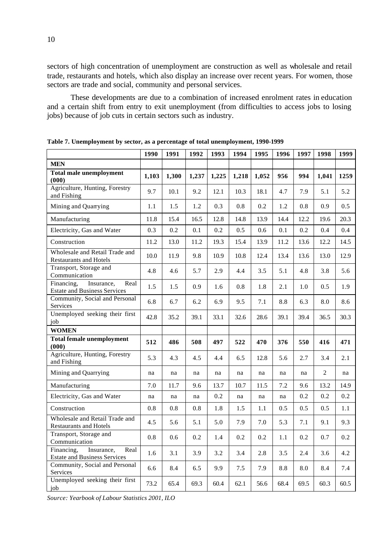sectors of high concentration of unemployment are construction as well as wholesale and retail trade, restaurants and hotels, which also display an increase over recent years. For women, those sectors are trade and social, community and personal services.

These developments are due to a combination of increased enrolment rates in education and a certain shift from entry to exit unemployment (from difficulties to access jobs to losing jobs) because of job cuts in certain sectors such as industry.

|                                                                         | 1990    | 1991  | 1992  | 1993  | 1994    | 1995    | 1996 | 1997 | 1998           | 1999 |
|-------------------------------------------------------------------------|---------|-------|-------|-------|---------|---------|------|------|----------------|------|
| <b>MEN</b>                                                              |         |       |       |       |         |         |      |      |                |      |
| <b>Total male unemployment</b><br>(000)                                 | 1,103   | 1,300 | 1,237 | 1,225 | 1,218   | 1,052   | 956  | 994  | 1,041          | 1259 |
| Agriculture, Hunting, Forestry<br>and Fishing                           | 9.7     | 10.1  | 9.2   | 12.1  | 10.3    | 18.1    | 4.7  | 7.9  | 5.1            | 5.2  |
| Mining and Quarrying                                                    | 1.1     | 1.5   | 1.2   | 0.3   | 0.8     | 0.2     | 1.2  | 0.8  | 0.9            | 0.5  |
| Manufacturing                                                           | 11.8    | 15.4  | 16.5  | 12.8  | 14.8    | 13.9    | 14.4 | 12.2 | 19.6           | 20.3 |
| Electricity, Gas and Water                                              | 0.3     | 0.2   | 0.1   | 0.2   | 0.5     | 0.6     | 0.1  | 0.2  | 0.4            | 0.4  |
| Construction                                                            | 11.2    | 13.0  | 11.2  | 19.3  | 15.4    | 13.9    | 11.2 | 13.6 | 12.2           | 14.5 |
| Wholesale and Retail Trade and<br><b>Restaurants and Hotels</b>         | 10.0    | 11.9  | 9.8   | 10.9  | 10.8    | 12.4    | 13.4 | 13.6 | 13.0           | 12.9 |
| Transport, Storage and<br>Communication                                 | 4.8     | 4.6   | 5.7   | 2.9   | 4.4     | 3.5     | 5.1  | 4.8  | 3.8            | 5.6  |
| Insurance,<br>Real<br>Financing,<br><b>Estate and Business Services</b> | 1.5     | 1.5   | 0.9   | 1.6   | 0.8     | 1.8     | 2.1  | 1.0  | 0.5            | 1.9  |
| Community, Social and Personal<br>Services                              | 6.8     | 6.7   | 6.2   | 6.9   | 9.5     | 7.1     | 8.8  | 6.3  | 8.0            | 8.6  |
| Unemployed seeking their first<br>job                                   | 42.8    | 35.2  | 39.1  | 33.1  | 32.6    | 28.6    | 39.1 | 39.4 | 36.5           | 30.3 |
| <b>WOMEN</b>                                                            |         |       |       |       |         |         |      |      |                |      |
| <b>Total female unemployment</b><br>(000)                               | 512     | 486   | 508   | 497   | 522     | 470     | 376  | 550  | 416            | 471  |
| Agriculture, Hunting, Forestry<br>and Fishing                           | 5.3     | 4.3   | 4.5   | 4.4   | 6.5     | 12.8    | 5.6  | 2.7  | 3.4            | 2.1  |
| Mining and Quarrying                                                    | na      | na    | na    | na    | na      | na      | na   | na   | $\overline{2}$ | na   |
| Manufacturing                                                           | 7.0     | 11.7  | 9.6   | 13.7  | 10.7    | 11.5    | 7.2  | 9.6  | 13.2           | 14.9 |
| Electricity, Gas and Water                                              | na      | na    | na    | 0.2   | na      | na      | na   | 0.2  | 0.2            | 0.2  |
| Construction                                                            | $0.8\,$ | 0.8   | 0.8   | 1.8   | 1.5     | 1.1     | 0.5  | 0.5  | 0.5            | 1.1  |
| Wholesale and Retail Trade and<br><b>Restaurants and Hotels</b>         | 4.5     | 5.6   | 5.1   | 5.0   | 7.9     | 7.0     | 5.3  | 7.1  | 9.1            | 9.3  |
| Transport, Storage and<br>Communication                                 | $0.8\,$ | 0.6   | 0.2   | 1.4   | $0.2\,$ | $0.2\,$ | 1.1  | 0.2  | $0.7\,$        | 0.2  |
| Financing,<br>Real<br>Insurance,<br><b>Estate and Business Services</b> | 1.6     | 3.1   | 3.9   | 3.2   | 3.4     | 2.8     | 3.5  | 2.4  | 3.6            | 4.2  |
| Community, Social and Personal<br>Services                              | 6.6     | 8.4   | 6.5   | 9.9   | 7.5     | 7.9     | 8.8  | 8.0  | 8.4            | 7.4  |
| Unemployed seeking their first<br>job                                   | 73.2    | 65.4  | 69.3  | 60.4  | 62.1    | 56.6    | 68.4 | 69.5 | 60.3           | 60.5 |

**Table 7. Unemployment by sector, as a percentage of total unemployment, 1990-1999**

*Source: Yearbook of Labour Statistics 2001, ILO*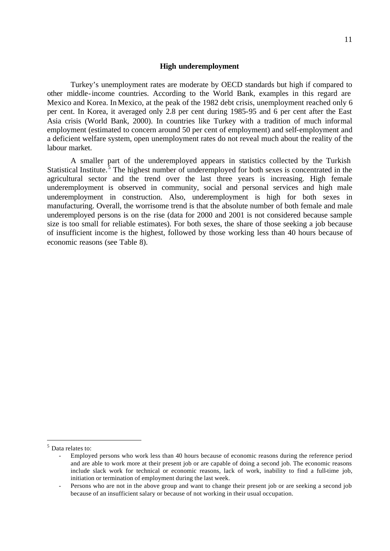#### **High underemployment**

Turkey's unemployment rates are moderate by OECD standards but high if compared to other middle-income countries. According to the World Bank, examples in this regard are Mexico and Korea. In Mexico, at the peak of the 1982 debt crisis, unemployment reached only 6 per cent. In Korea, it averaged only 2.8 per cent during 1985-95 and 6 per cent after the East Asia crisis (World Bank, 2000). In countries like Turkey with a tradition of much informal employment (estimated to concern around 50 per cent of employment) and self-employment and a deficient welfare system, open unemployment rates do not reveal much about the reality of the labour market.

A smaller part of the underemployed appears in statistics collected by the Turkish Statistical Institute.<sup>5</sup> The highest number of underemployed for both sexes is concentrated in the agricultural sector and the trend over the last three years is increasing. High female underemployment is observed in community, social and personal services and high male underemployment in construction. Also, underemployment is high for both sexes in manufacturing. Overall, the worrisome trend is that the absolute number of both female and male underemployed persons is on the rise (data for 2000 and 2001 is not considered because sample size is too small for reliable estimates). For both sexes, the share of those seeking a job because of insufficient income is the highest, followed by those working less than 40 hours because of economic reasons (see Table 8).

<sup>5</sup> Data relates to:

<sup>-</sup> Employed persons who work less than 40 hours because of economic reasons during the reference period and are able to work more at their present job or are capable of doing a second job. The economic reasons include slack work for technical or economic reasons, lack of work, inability to find a full-time job, initiation or termination of employment during the last week.

<sup>-</sup> Persons who are not in the above group and want to change their present job or are seeking a second job because of an insufficient salary or because of not working in their usual occupation.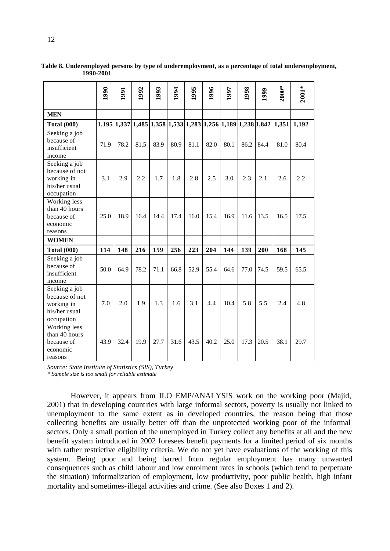|                                                                              | 1990 | 1991 | 992  | 1993 | 1994 | 1995 | 996  | 1997 | 1998 | 1999                                                           | $2000*$ | $2001*$ |
|------------------------------------------------------------------------------|------|------|------|------|------|------|------|------|------|----------------------------------------------------------------|---------|---------|
| <b>MEN</b>                                                                   |      |      |      |      |      |      |      |      |      |                                                                |         |         |
| <b>Total (000)</b>                                                           |      |      |      |      |      |      |      |      |      | $1,195 1,337 1,485 1,358 1,533 1,283 1,256 1,189 1,238 1,842 $ | 1,351   | 1,192   |
| Seeking a job<br>because of<br>insufficient<br>income                        | 71.9 | 78.2 | 81.5 | 83.9 | 80.9 | 81.1 | 82.0 | 80.1 | 86.2 | 84.4                                                           | 81.0    | 80.4    |
| Seeking a job<br>because of not<br>working in<br>his/her usual<br>occupation | 3.1  | 2.9  | 2.2  | 1.7  | 1.8  | 2.8  | 2.5  | 3.0  | 2.3  | 2.1                                                            | 2.6     | 2.2     |
| Working less<br>than 40 hours<br>because of<br>economic<br>reasons           | 25.0 | 18.9 | 16.4 | 14.4 | 17.4 | 16.0 | 15.4 | 16.9 | 11.6 | 13.5                                                           | 16.5    | 17.5    |
| <b>WOMEN</b>                                                                 |      |      |      |      |      |      |      |      |      |                                                                |         |         |
| <b>Total (000)</b>                                                           | 114  | 148  | 216  | 159  | 256  | 223  | 204  | 144  | 139  | 200                                                            | 168     | 145     |
| Seeking a job<br>because of<br>insufficient<br>income                        | 50.0 | 64.9 | 78.2 | 71.1 | 66.8 | 52.9 | 55.4 | 64.6 | 77.0 | 74.5                                                           | 59.5    | 65.5    |
| Seeking a job<br>because of not<br>working in<br>his/her usual<br>occupation | 7.0  | 2.0  | 1.9  | 1.3  | 1.6  | 3.1  | 4.4  | 10.4 | 5.8  | 5.5                                                            | 2.4     | 4.8     |
| Working less<br>than 40 hours<br>because of<br>economic<br>reasons           | 43.9 | 32.4 | 19.9 | 27.7 | 31.6 | 43.5 | 40.2 | 25.0 | 17.3 | 20.5                                                           | 38.1    | 29.7    |

**Table 8. Underemployed persons by type of underemployment, as a percentage of total underemployment, 1990-2001**

*Source: State Institute of Statistics (SIS), Turkey*

*\* Sample size is too small for reliable estimate*

However, it appears from ILO EMP/ANALYSIS work on the working poor (Majid, 2001) that in developing countries with large informal sectors, poverty is usually not linked to unemployment to the same extent as in developed countries, the reason being that those collecting benefits are usually better off than the unprotected working poor of the informal sectors. Only a small portion of the unemployed in Turkey collect any benefits at all and the new benefit system introduced in 2002 foresees benefit payments for a limited period of six months with rather restrictive eligibility criteria. We do not yet have evaluations of the working of this system. Being poor and being barred from regular employment has many unwanted consequences such as child labour and low enrolment rates in schools (which tend to perpetuate the situation) informalization of employment, low productivity, poor public health, high infant mortality and sometimes-illegal activities and crime. (See also Boxes 1 and 2).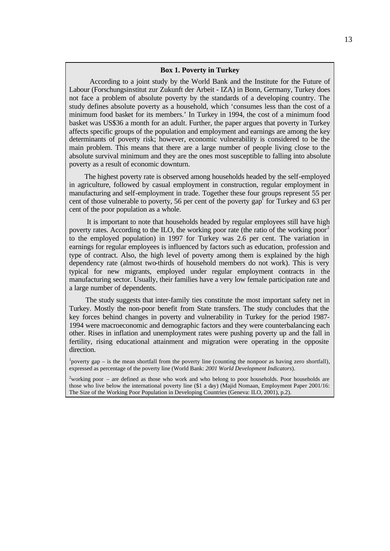#### **Box 1. Poverty in Turkey**

 According to a joint study by the World Bank and the Institute for the Future of Labour (Forschungsinstitut zur Zukunft der Arbeit - IZA) in Bonn, Germany, Turkey does not face a problem of absolute poverty by the standards of a developing country. The study defines absolute poverty as a household, which 'consumes less than the cost of a minimum food basket for its members.' In Turkey in 1994, the cost of a minimum food basket was US\$36 a month for an adult. Further, the paper argues that poverty in Turkey affects specific groups of the population and employment and earnings are among the key determinants of poverty risk; however, economic vulnerability is considered to be the main problem. This means that there are a large number of people living close to the absolute survival minimum and they are the ones most susceptible to falling into absolute poverty as a result of economic downturn.

 The highest poverty rate is observed among households headed by the self-employed in agriculture, followed by casual employment in construction, regular employment in manufacturing and self-employment in trade. Together these four groups represent 55 per cent of those vulnerable to poverty, 56 per cent of the poverty gap for Turkey and 63 per cent of the poor population as a whole.

 It is important to note that households headed by regular employees still have high poverty rates. According to the ILO, the working poor rate (the ratio of the working poor<sup>2</sup> to the employed population) in 1997 for Turkey was 2.6 per cent. The variation in earnings for regular employees is influenced by factors such as education, profession and type of contract. Also, the high level of poverty among them is explained by the high dependency rate (almost two-thirds of household members do not work). This is very typical for new migrants, employed under regular employment contracts in the manufacturing sector. Usually, their families have a very low female participation rate and a large number of dependents.

 The study suggests that inter-family ties constitute the most important safety net in Turkey. Mostly the non-poor benefit from State transfers. The study concludes that the key forces behind changes in poverty and vulnerability in Turkey for the period 1987- 1994 were macroeconomic and demographic factors and they were counterbalancing each other. Rises in inflation and unemployment rates were pushing poverty up and the fall in fertility, rising educational attainment and migration were operating in the opposite direction.

<sup>1</sup>poverty gap – is the mean shortfall from the poverty line (counting the nonpoor as having zero shortfall), expressed as percentage of the poverty line (World Bank: *2001 World Development Indicators*).

 $2$ working poor – are defined as those who work and who belong to poor households. Poor households are those who live below the international poverty line (\$1 a day) (Majid Nomaan, Employment Paper 2001/16: The Size of the Working Poor Population in Developing Countries (Geneva: ILO, 2001), p.2).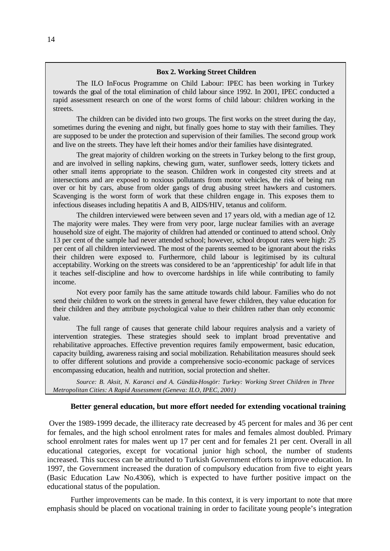#### **Box 2. Working Street Children**

The ILO InFocus Programme on Child Labour: IPEC has been working in Turkey towards the goal of the total elimination of child labour since 1992. In 2001, IPEC conducted a rapid assessment research on one of the worst forms of child labour: children working in the streets.

The children can be divided into two groups. The first works on the street during the day, sometimes during the evening and night, but finally goes home to stay with their families. They are supposed to be under the protection and supervision of their families. The second group work and live on the streets. They have left their homes and/or their families have disintegrated.

The great majority of children working on the streets in Turkey belong to the first group, and are involved in selling napkins, chewing gum, water, sunflower seeds, lottery tickets and other small items appropriate to the season. Children work in congested city streets and at intersections and are exposed to noxious pollutants from motor vehicles, the risk of being run over or hit by cars, abuse from older gangs of drug abusing street hawkers and customers. Scavenging is the worst form of work that these children engage in. This exposes them to infectious diseases including hepatitis A and B, AIDS/HIV, tetanus and coliform.

The children interviewed were between seven and 17 years old, with a median age of 12. The majority were males. They were from very poor, large nuclear families with an average household size of eight. The majority of children had attended or continued to attend school. Only 13 per cent of the sample had never attended school; however, school dropout rates were high: 25 per cent of all children interviewed. The most of the parents seemed to be ignorant about the risks their children were exposed to. Furthermore, child labour is legitimised by its cultural acceptability. Working on the streets was considered to be an 'apprenticeship' for adult life in that it teaches self-discipline and how to overcome hardships in life while contributing to family income.

Not every poor family has the same attitude towards child labour. Families who do not send their children to work on the streets in general have fewer children, they value education for their children and they attribute psychological value to their children rather than only economic value.

The full range of causes that generate child labour requires analysis and a variety of intervention strategies. These strategies should seek to implant broad preventative and rehabilitative approaches. Effective prevention requires family empowerment, basic education, capacity building, awareness raising and social mobilization. Rehabilitation measures should seek to offer different solutions and provide a comprehensive socio-economic package of services encompassing education, health and nutrition, social protection and shelter.

*Source: B. Aksit, N. Karanci and A. Gündüz-Hosgör: Turkey: Working Street Children in Three Metropolitan Cities: A Rapid Assessment (Geneva: ILO, IPEC, 2001)*

#### **Better general education, but more effort needed for extending vocational training**

 Over the 1989-1999 decade, the illiteracy rate decreased by 45 percent for males and 36 per cent for females, and the high school enrolment rates for males and females almost doubled. Primary school enrolment rates for males went up 17 per cent and for females 21 per cent. Overall in all educational categories, except for vocational junior high school, the number of students increased. This success can be attributed to Turkish Government efforts to improve education. In 1997, the Government increased the duration of compulsory education from five to eight years (Basic Education Law No.4306), which is expected to have further positive impact on the educational status of the population.

Further improvements can be made. In this context, it is very important to note that more emphasis should be placed on vocational training in order to facilitate young people's integration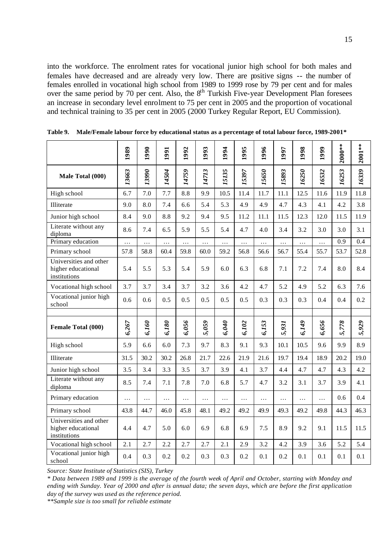into the workforce. The enrolment rates for vocational junior high school for both males and females have decreased and are already very low. There are positive signs -- the number of females enrolled in vocational high school from 1989 to 1999 rose by 79 per cent and for males over the same period by 70 per cent. Also, the 8<sup>th</sup> Turkish Five-year Development Plan foresees an increase in secondary level enrolment to 75 per cent in 2005 and the proportion of vocational and technical training to 35 per cent in 2005 (2000 Turkey Regular Report, EU Commission).

|                                                              | 1989     | 1990     | 1991     | 1992     | 1993     | 1994      | 1995  | 1996     | 1997     | 1998     | 1999      | $2000**$ | $2001**$ |
|--------------------------------------------------------------|----------|----------|----------|----------|----------|-----------|-------|----------|----------|----------|-----------|----------|----------|
| Male Total (000)                                             | 13663    | 13990    | 14504    | 14759    | 14713    | 15135     | 15397 | 15650    | 15893    | 16250    | 16532     | 16253    | 16339    |
| High school                                                  | 6.7      | 7.0      | 7.7      | 8.8      | 9.9      | 10.5      | 11.4  | 11.7     | 11.1     | 12.5     | 11.6      | 11.9     | 11.8     |
| Illiterate                                                   | 9.0      | 8.0      | 7.4      | 6.6      | 5.4      | 5.3       | 4.9   | 4.9      | 4.7      | 4.3      | 4.1       | 4.2      | 3.8      |
| Junior high school                                           | 8.4      | 9.0      | 8.8      | 9.2      | 9.4      | 9.5       | 11.2  | 11.1     | 11.5     | 12.3     | 12.0      | 11.5     | 11.9     |
| Literate without any<br>diploma                              | 8.6      | 7.4      | 6.5      | 5.9      | 5.5      | 5.4       | 4.7   | 4.0      | 3.4      | 3.2      | 3.0       | 3.0      | 3.1      |
| Primary education                                            | $\ldots$ | .        | $\ldots$ | $\ldots$ | $\ldots$ | $\cdots$  | .     | .        | .        | $\cdots$ | $\ddotsc$ | 0.9      | 0.4      |
| Primary school                                               | 57.8     | 58.8     | 60.4     | 59.8     | 60.0     | 59.2      | 56.8  | 56.6     | 56.7     | 55.4     | 55.7      | 53.7     | 52.8     |
| Universities and other<br>higher educational<br>institutions | 5.4      | 5.5      | 5.3      | 5.4      | 5.9      | 6.0       | 6.3   | 6.8      | 7.1      | 7.2      | 7.4       | 8.0      | 8.4      |
| Vocational high school                                       | 3.7      | 3.7      | 3.4      | 3.7      | 3.2      | 3.6       | 4.2   | 4.7      | 5.2      | 4.9      | 5.2       | 6.3      | 7.6      |
| Vocational junior high<br>school                             | 0.6      | 0.6      | 0.5      | 0.5      | 0.5      | 0.5       | 0.5   | 0.3      | 0.3      | 0.3      | 0.4       | 0.4      | 0.2      |
| Female Total (000)                                           | 6,267    | 6,160    | 6,180    | 6,056    | 5,059    | 6,040     | 6,102 | 6,153    | 5,931    | 6,149    | 6,656     | 5,778    | 5,929    |
| High school                                                  | 5.9      | 6.6      | 6.0      | 7.3      | 9.7      | 8.3       | 9.1   | 9.3      | 10.1     | 10.5     | 9.6       | 9.9      | 8.9      |
| Illiterate                                                   | 31.5     | 30.2     | 30.2     | 26.8     | 21.7     | 22.6      | 21.9  | 21.6     | 19.7     | 19.4     | 18.9      | 20.2     | 19.0     |
| Junior high school                                           | 3.5      | 3.4      | 3.3      | 3.5      | 3.7      | 3.9       | 4.1   | 3.7      | 4.4      | 4.7      | 4.7       | 4.3      | 4.2      |
| Literate without any<br>diploma                              | 8.5      | 7.4      | 7.1      | 7.8      | 7.0      | 6.8       | 5.7   | 4.7      | 3.2      | 3.1      | 3.7       | 3.9      | 4.1      |
| Primary education                                            | .        | $\cdots$ | .        | $\cdots$ | $\ldots$ | $\ddotsc$ | .     | $\cdots$ | $\ldots$ | $\ldots$ | .         | 0.6      | 0.4      |
| Primary school                                               | 43.8     | 44.7     | 46.0     | 45.8     | 48.1     | 49.2      | 49.2  | 49.9     | 49.3     | 49.2     | 49.8      | 44.3     | 46.3     |
| Universities and other<br>higher educational<br>institutions | 4.4      | 4.7      | 5.0      | 6.0      | 6.9      | 6.8       | 6.9   | 7.5      | 8.9      | 9.2      | 9.1       | 11.5     | 11.5     |
| Vocational high school                                       | 2.1      | 2.7      | 2.2      | 2.7      | 2.7      | 2.1       | 2.9   | 3.2      | 4.2      | 3.9      | 3.6       | 5.2      | 5.4      |
| Vocational junior high<br>school                             | 0.4      | 0.3      | 0.2      | 0.2      | 0.3      | 0.3       | 0.2   | 0.1      | 0.2      | 0.1      | 0.1       | 0.1      | 0.1      |

**Table 9. Male/Female labour force by educational status as a percentage of total labour force, 1989-2001\*** 

*Source: State Institute of Statistics (SIS), Turkey*

*\* Data between 1989 and 1999 is the average of the fourth week of April and October, starting with Monday and ending with Sunday. Year of 2000 and after is annual data; the seven days, which are before the first application day of the survey was used as the reference period.*

*\*\*Sample size is too small for reliable estimate*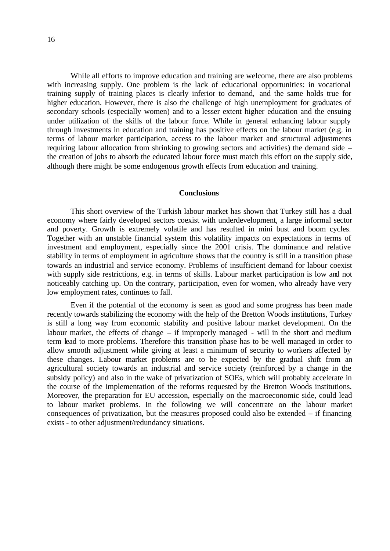While all efforts to improve education and training are welcome, there are also problems with increasing supply. One problem is the lack of educational opportunities: in vocational training supply of training places is clearly inferior to demand, and the same holds true for higher education. However, there is also the challenge of high unemployment for graduates of secondary schools (especially women) and to a lesser extent higher education and the ensuing under utilization of the skills of the labour force. While in general enhancing labour supply through investments in education and training has positive effects on the labour market (e.g. in terms of labour market participation, access to the labour market and structural adjustments requiring labour allocation from shrinking to growing sectors and activities) the demand side – the creation of jobs to absorb the educated labour force must match this effort on the supply side, although there might be some endogenous growth effects from education and training.

#### **Conclusions**

This short overview of the Turkish labour market has shown that Turkey still has a dual economy where fairly developed sectors coexist with underdevelopment, a large informal sector and poverty. Growth is extremely volatile and has resulted in mini bust and boom cycles. Together with an unstable financial system this volatility impacts on expectations in terms of investment and employment, especially since the 2001 crisis. The dominance and relative stability in terms of employment in agriculture shows that the country is still in a transition phase towards an industrial and service economy. Problems of insufficient demand for labour coexist with supply side restrictions, e.g. in terms of skills. Labour market participation is low and not noticeably catching up. On the contrary, participation, even for women, who already have very low employment rates, continues to fall.

Even if the potential of the economy is seen as good and some progress has been made recently towards stabilizing the economy with the help of the Bretton Woods institutions, Turkey is still a long way from economic stability and positive labour market development. On the labour market, the effects of change – if improperly managed - will in the short and medium term lead to more problems. Therefore this transition phase has to be well managed in order to allow smooth adjustment while giving at least a minimum of security to workers affected by these changes. Labour market problems are to be expected by the gradual shift from an agricultural society towards an industrial and service society (reinforced by a change in the subsidy policy) and also in the wake of privatization of SOEs, which will probably accelerate in the course of the implementation of the reforms requested by the Bretton Woods institutions. Moreover, the preparation for EU accession, especially on the macroeconomic side, could lead to labour market problems. In the following we will concentrate on the labour market consequences of privatization, but the measures proposed could also be extended – if financing exists - to other adjustment/redundancy situations.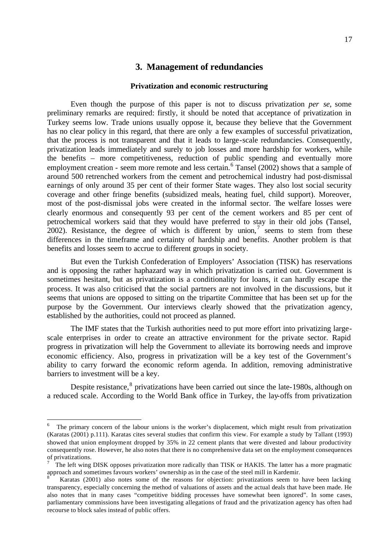## **3. Management of redundancies**

#### **Privatization and economic restructuring**

Even though the purpose of this paper is not to discuss privatization *per se*, some preliminary remarks are required: firstly, it should be noted that acceptance of privatization in Turkey seems low. Trade unions usually oppose it, because they believe that the Government has no clear policy in this regard, that there are only a few examples of successful privatization, that the process is not transparent and that it leads to large-scale redundancies. Consequently, privatization leads immediately and surely to job losses and more hardship for workers, while the benefits – more competitiveness, reduction of public spending and eventually more employment creation - seem more remote and less certain.<sup>6</sup> Tansel (2002) shows that a sample of around 500 retrenched workers from the cement and petrochemical industry had post-dismissal earnings of only around 35 per cent of their former State wages. They also lost social security coverage and other fringe benefits (subsidized meals, heating fuel, child support). Moreover, most of the post-dismissal jobs were created in the informal sector. The welfare losses were clearly enormous and consequently 93 per cent of the cement workers and 85 per cent of petrochemical workers said that they would have preferred to stay in their old jobs (Tansel, 2002). Resistance, the degree of which is different by union,<sup>7</sup> seems to stem from these differences in the timeframe and certainty of hardship and benefits. Another problem is that benefits and losses seem to accrue to different groups in society.

But even the Turkish Confederation of Employers' Association (TISK) has reservations and is opposing the rather haphazard way in which privatization is carried out. Government is sometimes hesitant, but as privatization is a conditionality for loans, it can hardly escape the process. It was also criticised that the social partners are not involved in the discussions, but it seems that unions are opposed to sitting on the tripartite Committee that has been set up for the purpose by the Government. Our interviews clearly showed that the privatization agency, established by the authorities, could not proceed as planned.

The IMF states that the Turkish authorities need to put more effort into privatizing largescale enterprises in order to create an attractive environment for the private sector. Rapid progress in privatization will help the Government to alleviate its borrowing needs and improve economic efficiency. Also, progress in privatization will be a key test of the Government's ability to carry forward the economic reform agenda. In addition, removing administrative barriers to investment will be a key.

Despite resistance, <sup>8</sup> privatizations have been carried out since the late-1980s, although on a reduced scale. According to the World Bank office in Turkey, the lay-offs from privatization

<sup>6</sup> The primary concern of the labour unions is the worker's displacement, which might result from privatization (Karatas (2001) p.111). Karatas cites several studies that confirm this view. For example a study by Tallant (1993) showed that union employment dropped by 35% in 22 cement plants that were divested and labour productivity consequently rose. However, he also notes that there is no comprehensive data set on the employment consequences of privatizations.

<sup>7</sup> The left wing DISK opposes privatization more radically than TISK or HAKIS. The latter has a more pragmatic approach and sometimes favours workers' ownership as in the case of the steel mill in Kardemir.<br><sup>8</sup> Expats (2001) also notes some of the reasons for objection, privatizations soom to

Karatas (2001) also notes some of the reasons for objection: privatizations seem to have been lacking transparency, especially concerning the method of valuations of assets and the actual deals that have been made. He also notes that in many cases "competitive bidding processes have somewhat been ignored". In some cases, parliamentary commissions have been investigating allegations of fraud and the privatization agency has often had recourse to block sales instead of public offers.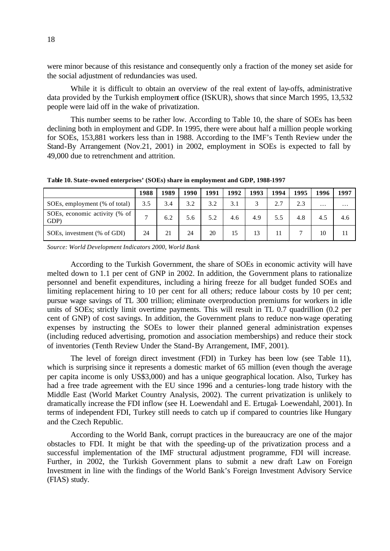were minor because of this resistance and consequently only a fraction of the money set aside for the social adjustment of redundancies was used.

While it is difficult to obtain an overview of the real extent of lay-offs, administrative data provided by the Turkish employment office (ISKUR), shows that since March 1995, 13,532 people were laid off in the wake of privatization.

This number seems to be rather low. According to Table 10, the share of SOEs has been declining both in employment and GDP. In 1995, there were about half a million people working for SOEs, 153,881 workers less than in 1988. According to the IMF's Tenth Review under the Stand-By Arrangement (Nov.21, 2001) in 2002, employment in SOEs is expected to fall by 49,000 due to retrenchment and attrition.

**Table 10. State-owned enterprises' (SOEs) share in employment and GDP, 1988-1997**

|                                       | 1988         | 1989 | 1990 | 1991 | 1992 | 1993               | 1994 | 1995            | 1996     | 1997     |
|---------------------------------------|--------------|------|------|------|------|--------------------|------|-----------------|----------|----------|
| SOEs, employment (% of total)         | 3.5          | 3.4  | 3.2  | 3.2  | 3.1  | $\mathbf{\hat{z}}$ | 2.7  | 2.3             | $\cdots$ | $\cdots$ |
| SOEs, economic activity (% of<br>GDP) | $\mathbf{r}$ | 6.2  | 5.6  | 5.2  | 4.6  | 4.9                | 5.5  | 4.8             | 4.5      | 4.6      |
| SOEs, investment (% of GDI)           | 24           | 21   | 24   | 20   | 15   | 13                 | 11   | $\mathbf{\tau}$ | 10       | 11       |

*Source: World Development Indicators 2000, World Bank*

According to the Turkish Government, the share of SOEs in economic activity will have melted down to 1.1 per cent of GNP in 2002. In addition, the Government plans to rationalize personnel and benefit expenditures, including a hiring freeze for all budget funded SOEs and limiting replacement hiring to 10 per cent for all others; reduce labour costs by 10 per cent; pursue wage savings of TL 300 trillion; eliminate overproduction premiums for workers in idle units of SOEs; strictly limit overtime payments. This will result in TL 0.7 quadrillion (0.2 per cent of GNP) of cost savings. In addition, the Government plans to reduce non-wage operating expenses by instructing the SOEs to lower their planned general administration expenses (including reduced advertising, promotion and association memberships) and reduce their stock of inventories (Tenth Review Under the Stand-By Arrangement, IMF, 2001).

The level of foreign direct investment (FDI) in Turkey has been low (see Table 11), which is surprising since it represents a domestic market of 65 million (even though the average per capita income is only US\$3,000) and has a unique geographical location. Also, Turkey has had a free trade agreement with the EU since 1996 and a centuries-long trade history with the Middle East (World Market Country Analysis, 2002). The current privatization is unlikely to dramatically increase the FDI inflow (see H. Loewendahl and E. Ertugal- Loewendahl, 2001). In terms of independent FDI, Turkey still needs to catch up if compared to countries like Hungary and the Czech Republic.

According to the World Bank, corrupt practices in the bureaucracy are one of the major obstacles to FDI. It might be that with the speeding-up of the privatization process and a successful implementation of the IMF structural adjustment programme, FDI will increase. Further, in 2002, the Turkish Government plans to submit a new draft Law on Foreign Investment in line with the findings of the World Bank's Foreign Investment Advisory Service (FIAS) study.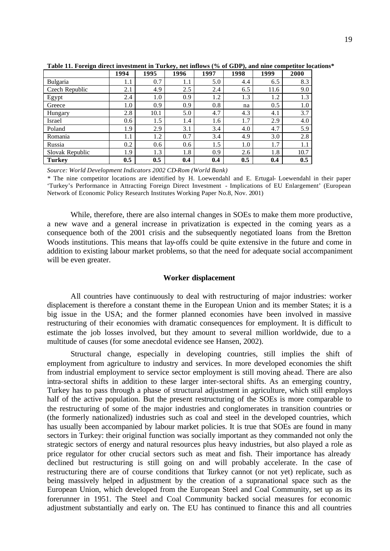|                 | 1994    | 1995 | 1996 | 1997 | 1998 | 1999 | 2000    |
|-----------------|---------|------|------|------|------|------|---------|
| Bulgaria        | 1.1     | 0.7  | 1.1  | 5.0  | 4.4  | 6.5  | 8.3     |
| Czech Republic  | 2.1     | 4.9  | 2.5  | 2.4  | 6.5  | 11.6 | 9.0     |
| Egypt           | 2.4     | 1.0  | 0.9  | 1.2  | 1.3  | 1.2  | 1.3     |
| Greece          | 1.0     | 0.9  | 0.9  | 0.8  | na   | 0.5  | $1.0\,$ |
| Hungary         | 2.8     | 10.1 | 5.0  | 4.7  | 4.3  | 4.1  | 3.7     |
| Israel          | 0.6     | 1.5  | 1.4  | 1.6  | 1.7  | 2.9  | 4.0     |
| Poland          | 1.9     | 2.9  | 3.1  | 3.4  | 4.0  | 4.7  | 5.9     |
| Romania         | $1.1\,$ | 1.2  | 0.7  | 3.4  | 4.9  | 3.0  | 2.8     |
| Russia          | 0.2     | 0.6  | 0.6  | 1.5  | 1.0  | 1.7  | 1.1     |
| Slovak Republic | 1.9     | 1.3  | 1.8  | 0.9  | 2.6  | 1.8  | 10.7    |
| <b>Turkey</b>   | 0.5     | 0.5  | 0.4  | 0.4  | 0.5  | 0.4  | 0.5     |

**Table 11. Foreign direct investment in Turkey, net inflows (% of GDP), and nine competitor locations\*** 

*Source: World Development Indicators 2002 CD-Rom (World Bank)*

*\** The nine competitor locations are identified by H. Loewendahl and E. Ertugal- Loewendahl in their paper 'Turkey's Performance in Attracting Foreign Direct Investment - Implications of EU Enlargement' (European Network of Economic Policy Research Institutes Working Paper No.8, Nov. 2001)

While, therefore, there are also internal changes in SOEs to make them more productive, a new wave and a general increase in privatization is expected in the coming years as a consequence both of the 2001 crisis and the subsequently negotiated loans from the Bretton Woods institutions. This means that lay-offs could be quite extensive in the future and come in addition to existing labour market problems, so that the need for adequate social accompaniment will be even greater.

#### **Worker displacement**

All countries have continuously to deal with restructuring of major industries: worker displacement is therefore a constant theme in the European Union and its member States; it is a big issue in the USA; and the former planned economies have been involved in massive restructuring of their economies with dramatic consequences for employment. It is difficult to estimate the job losses involved, but they amount to several million worldwide, due to a multitude of causes (for some anecdotal evidence see Hansen, 2002).

Structural change, especially in developing countries, still implies the shift of employment from agriculture to industry and services. In more developed economies the shift from industrial employment to service sector employment is still moving ahead. There are also intra-sectoral shifts in addition to these larger inter-sectoral shifts. As an emerging country, Turkey has to pass through a phase of structural adjustment in agriculture, which still employs half of the active population. But the present restructuring of the SOEs is more comparable to the restructuring of some of the major industries and conglomerates in transition countries or (the formerly nationalized) industries such as coal and steel in the developed countries, which has usually been accompanied by labour market policies. It is true that SOEs are found in many sectors in Turkey: their original function was socially important as they commanded not only the strategic sectors of energy and natural resources plus heavy industries, but also played a role as price regulator for other crucial sectors such as meat and fish. Their importance has already declined but restructuring is still going on and will probably accelerate. In the case of restructuring there are of course conditions that Turkey cannot (or not yet) replicate, such as being massively helped in adjustment by the creation of a supranational space such as the European Union, which developed from the European Steel and Coal Community, set up as its forerunner in 1951. The Steel and Coal Community backed social measures for economic adjustment substantially and early on. The EU has continued to finance this and all countries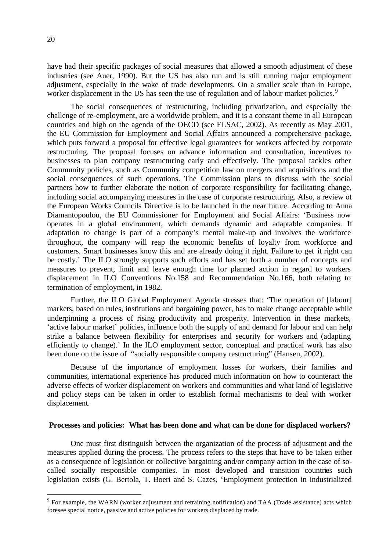have had their specific packages of social measures that allowed a smooth adjustment of these industries (see Auer, 1990). But the US has also run and is still running major employment adjustment, especially in the wake of trade developments. On a smaller scale than in Europe, worker displacement in the US has seen the use of regulation and of labour market policies.<sup>9</sup>

The social consequences of restructuring, including privatization, and especially the challenge of re-employment, are a worldwide problem, and it is a constant theme in all European countries and high on the agenda of the OECD (see ELSAC, 2002). As recently as May 2001, the EU Commission for Employment and Social Affairs announced a comprehensive package, which puts forward a proposal for effective legal guarantees for workers affected by corporate restructuring. The proposal focuses on advance information and consultation, incentives to businesses to plan company restructuring early and effectively. The proposal tackles other Community policies, such as Community competition law on mergers and acquisitions and the social consequences of such operations. The Commission plans to discuss with the social partners how to further elaborate the notion of corporate responsibility for facilitating change, including social accompanying measures in the case of corporate restructuring. Also, a review of the European Works Councils Directive is to be launched in the near future. According to Anna Diamantopoulou, the EU Commissioner for Employment and Social Affairs: 'Business now operates in a global environment, which demands dynamic and adaptable companies. If adaptation to change is part of a company's mental make-up and involves the workforce throughout, the company will reap the economic benefits of loyalty from workforce and customers. Smart businesses know this and are already doing it right. Failure to get it right can be costly.' The ILO strongly supports such efforts and has set forth a number of concepts and measures to prevent, limit and leave enough time for planned action in regard to workers displacement in ILO Conventions No.158 and Recommendation No.166, both relating to termination of employment, in 1982.

Further, the ILO Global Employment Agenda stresses that: 'The operation of [labour] markets, based on rules, institutions and bargaining power, has to make change acceptable while underpinning a process of rising productivity and prosperity. Intervention in these markets, 'active labour market' policies, influence both the supply of and demand for labour and can help strike a balance between flexibility for enterprises and security for workers and (adapting efficiently to change).' In the ILO employment sector, conceptual and practical work has also been done on the issue of "socially responsible company restructuring" (Hansen, 2002).

Because of the importance of employment losses for workers, their families and communities, international experience has produced much information on how to counteract the adverse effects of worker displacement on workers and communities and what kind of legislative and policy steps can be taken in order to establish formal mechanisms to deal with worker displacement.

#### **Processes and policies: What has been done and what can be done for displaced workers?**

One must first distinguish between the organization of the process of adjustment and the measures applied during the process. The process refers to the steps that have to be taken either as a consequence of legislation or collective bargaining and/or company action in the case of socalled socially responsible companies. In most developed and transition countries such legislation exists (G. Bertola, T. Boeri and S. Cazes, 'Employment protection in industrialized

<sup>&</sup>lt;sup>9</sup> For example, the WARN (worker adjustment and retraining notification) and TAA (Trade assistance) acts which foresee special notice, passive and active policies for workers displaced by trade.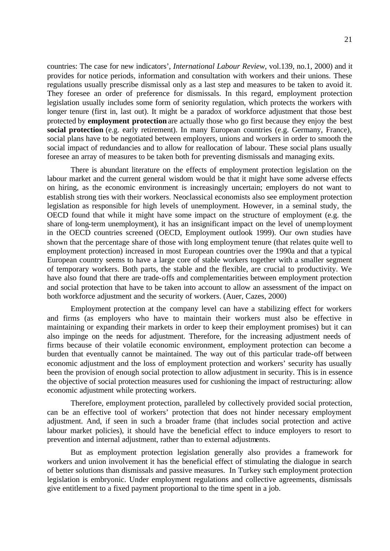21

countries: The case for new indicators', *International Labour Review*, vol.139, no.1, 2000) and it provides for notice periods, information and consultation with workers and their unions. These regulations usually prescribe dismissal only as a last step and measures to be taken to avoid it. They foresee an order of preference for dismissals. In this regard, employment protection legislation usually includes some form of seniority regulation, which protects the workers with longer tenure (first in, last out). It might be a paradox of workforce adjustment that those best protected by **employment protection** are actually those who go first because they enjoy the best **social protection** (e.g. early retirement). In many European countries (e.g. Germany, France), social plans have to be negotiated between employers, unions and workers in order to smooth the social impact of redundancies and to allow for reallocation of labour. These social plans usually foresee an array of measures to be taken both for preventing dismissals and managing exits.

There is abundant literature on the effects of employment protection legislation on the labour market and the current general wisdom would be that it might have some adverse effects on hiring, as the economic environment is increasingly uncertain; employers do not want to establish strong ties with their workers. Neoclassical economists also see employment protection legislation as responsible for high levels of unemployment. However, in a seminal study, the OECD found that while it might have some impact on the structure of employment (e.g. the share of long-term unemployment), it has an insignificant impact on the level of unemployment in the OECD countries screened (OECD, Employment outlook 1999). Our own studies have shown that the percentage share of those with long employment tenure (that relates quite well to employment protection) increased in most European countries over the 1990a and that a typical European country seems to have a large core of stable workers together with a smaller segment of temporary workers. Both parts, the stable and the flexible, are crucial to productivity. We have also found that there are trade-offs and complementarities between employment protection and social protection that have to be taken into account to allow an assessment of the impact on both workforce adjustment and the security of workers. (Auer, Cazes, 2000)

Employment protection at the company level can have a stabilizing effect for workers and firms (as employers who have to maintain their workers must also be effective in maintaining or expanding their markets in order to keep their employment promises) but it can also impinge on the needs for adjustment. Therefore, for the increasing adjustment needs of firms because of their volatile economic environment, employment protection can become a burden that eventually cannot be maintained. The way out of this particular trade-off between economic adjustment and the loss of employment protection and workers' security has usually been the provision of enough social protection to allow adjustment in security. This is in essence the objective of social protection measures used for cushioning the impact of restructuring: allow economic adjustment while protecting workers.

Therefore, employment protection, paralleled by collectively provided social protection, can be an effective tool of workers' protection that does not hinder necessary employment adjustment. And, if seen in such a broader frame (that includes social protection and active labour market policies), it should have the beneficial effect to induce employers to resort to prevention and internal adjustment, rather than to external adjustments.

But as employment protection legislation generally also provides a framework for workers and union involvement it has the beneficial effect of stimulating the dialogue in search of better solutions than dismissals and passive measures. In Turkey such employment protection legislation is embryonic. Under employment regulations and collective agreements, dismissals give entitlement to a fixed payment proportional to the time spent in a job.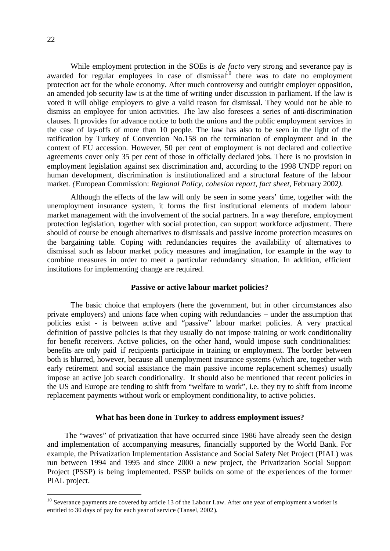While employment protection in the SOEs is *de facto* very strong and severance pay is awarded for regular employees in case of dismissal $1^{10}$  there was to date no employment protection act for the whole economy. After much controversy and outright employer opposition, an amended job security law is at the time of writing under discussion in parliament. If the law is voted it will oblige employers to give a valid reason for dismissal. They would not be able to dismiss an employee for union activities. The law also foresees a series of anti-discrimination clauses. It provides for advance notice to both the unions and the public employment services in the case of lay-offs of more than 10 people. The law has also to be seen in the light of the ratification by Turkey of Convention No.158 on the termination of employment and in the context of EU accession. However, 50 per cent of employment is not declared and collective agreements cover only 35 per cent of those in officially declared jobs. There is no provision in employment legislation against sex discrimination and, according to the 1998 UNDP report on human development, discrimination is institutionalized and a structural feature of the labour market. *(*European Commission: *Regional Policy, cohesion report, fact sheet,* February 2002*)*.

Although the effects of the law will only be seen in some years' time, together with the unemployment insurance system, it forms the first institutional elements of modern labour market management with the involvement of the social partners. In a way therefore, employment protection legislation, together with social protection, can support workforce adjustment. There should of course be enough alternatives to dismissals and passive income protection measures on the bargaining table. Coping with redundancies requires the availability of alternatives to dismissal such as labour market policy measures and imagination, for example in the way to combine measures in order to meet a particular redundancy situation. In addition, efficient institutions for implementing change are required.

#### **Passive or active labour market policies?**

The basic choice that employers (here the government, but in other circumstances also private employers) and unions face when coping with redundancies – under the assumption that policies exist - is between active and "passive" labour market policies. A very practical definition of passive policies is that they usually do not impose training or work conditionality for benefit receivers. Active policies, on the other hand, would impose such conditionalities: benefits are only paid if recipients participate in training or employment. The border between both is blurred, however, because all unemployment insurance systems (which are, together with early retirement and social assistance the main passive income replacement schemes) usually impose an active job search conditionality. It should also be mentioned that recent policies in the US and Europe are tending to shift from "welfare to work", i.e. they try to shift from income replacement payments without work or employment conditiona lity, to active policies.

#### **What has been done in Turkey to address employment issues?**

The "waves" of privatization that have occurred since 1986 have already seen the design and implementation of accompanying measures, financially supported by the World Bank. For example, the Privatization Implementation Assistance and Social Safety Net Project (PIAL) was run between 1994 and 1995 and since 2000 a new project, the Privatization Social Support Project (PSSP) is being implemented. PSSP builds on some of the experiences of the former PIAL project.

 $10$  Severance payments are covered by article 13 of the Labour Law. After one year of employment a worker is entitled to 30 days of pay for each year of service (Tansel, 2002).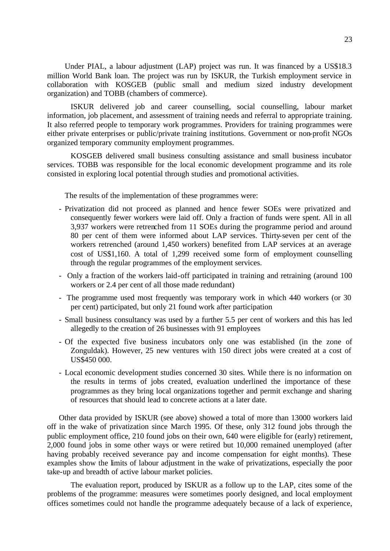Under PIAL, a labour adjustment (LAP) project was run. It was financed by a US\$18.3 million World Bank loan. The project was run by ISKUR, the Turkish employment service in collaboration with KOSGEB (public small and medium sized industry development organization) and TOBB (chambers of commerce).

ISKUR delivered job and career counselling, social counselling, labour market information, job placement, and assessment of training needs and referral to appropriate training. It also referred people to temporary work programmes. Providers for training programmes were either private enterprises or public/private training institutions. Government or non-profit NGOs organized temporary community employment programmes.

KOSGEB delivered small business consulting assistance and small business incubator services. TOBB was responsible for the local economic development programme and its role consisted in exploring local potential through studies and promotional activities.

The results of the implementation of these programmes were:

- Privatization did not proceed as planned and hence fewer SOEs were privatized and consequently fewer workers were laid off. Only a fraction of funds were spent. All in all 3,937 workers were retrenched from 11 SOEs during the programme period and around 80 per cent of them were informed about LAP services. Thirty-seven per cent of the workers retrenched (around 1,450 workers) benefited from LAP services at an average cost of US\$1,160. A total of 1,299 received some form of employment counselling through the regular programmes of the employment services.
- Only a fraction of the workers laid-off participated in training and retraining (around 100 workers or 2.4 per cent of all those made redundant)
- The programme used most frequently was temporary work in which 440 workers (or 30 per cent) participated, but only 21 found work after participation
- Small business consultancy was used by a further 5.5 per cent of workers and this has led allegedly to the creation of 26 businesses with 91 employees
- Of the expected five business incubators only one was established (in the zone of Zonguldak). However, 25 new ventures with 150 direct jobs were created at a cost of US\$450 000.
- Local economic development studies concerned 30 sites. While there is no information on the results in terms of jobs created, evaluation underlined the importance of these programmes as they bring local organizations together and permit exchange and sharing of resources that should lead to concrete actions at a later date.

Other data provided by ISKUR (see above) showed a total of more than 13000 workers laid off in the wake of privatization since March 1995. Of these, only 312 found jobs through the public employment office, 210 found jobs on their own, 640 were eligible for (early) retirement, 2,000 found jobs in some other ways or were retired but 10,000 remained unemployed (after having probably received severance pay and income compensation for eight months). These examples show the limits of labour adjustment in the wake of privatizations, especially the poor take-up and breadth of active labour market policies.

The evaluation report, produced by ISKUR as a follow up to the LAP, cites some of the problems of the programme: measures were sometimes poorly designed, and local employment offices sometimes could not handle the programme adequately because of a lack of experience,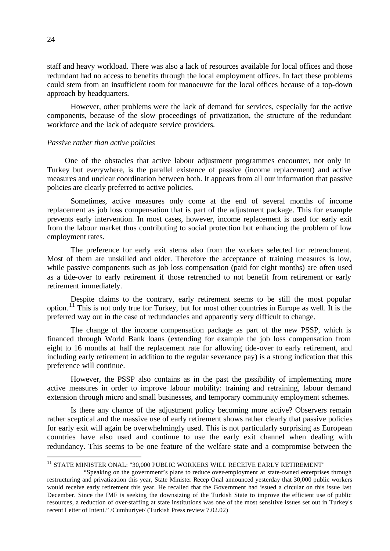staff and heavy workload. There was also a lack of resources available for local offices and those redundant had no access to benefits through the local employment offices. In fact these problems could stem from an insufficient room for manoeuvre for the local offices because of a top-down approach by headquarters.

However, other problems were the lack of demand for services, especially for the active components, because of the slow proceedings of privatization, the structure of the redundant workforce and the lack of adequate service providers.

#### *Passive rather than active policies*

One of the obstacles that active labour adjustment programmes encounter, not only in Turkey but everywhere, is the parallel existence of passive (income replacement) and active measures and unclear coordination between both. It appears from all our information that passive policies are clearly preferred to active policies.

Sometimes, active measures only come at the end of several months of income replacement as job loss compensation that is part of the adjustment package. This for example prevents early intervention. In most cases, however, income replacement is used for early exit from the labour market thus contributing to social protection but enhancing the problem of low employment rates.

The preference for early exit stems also from the workers selected for retrenchment. Most of them are unskilled and older. Therefore the acceptance of training measures is low, while passive components such as job loss compensation (paid for eight months) are often used as a tide-over to early retirement if those retrenched to not benefit from retirement or early retirement immediately.

Despite claims to the contrary, early retirement seems to be still the most popular option. <sup>11</sup> This is not only true for Turkey, but for most other countries in Europe as well. It is the preferred way out in the case of redundancies and apparently very difficult to change.

The change of the income compensation package as part of the new PSSP, which is financed through World Bank loans (extending for example the job loss compensation from eight to 16 months at half the replacement rate for allowing tide-over to early retirement, and including early retirement in addition to the regular severance pay) is a strong indication that this preference will continue.

However, the PSSP also contains as in the past the possibility of implementing more active measures in order to improve labour mobility: training and retraining, labour demand extension through micro and small businesses, and temporary community employment schemes.

Is there any chance of the adjustment policy becoming more active? Observers remain rather sceptical and the massive use of early retirement shows rather clearly that passive policies for early exit will again be overwhelmingly used. This is not particularly surprising as European countries have also used and continue to use the early exit channel when dealing with redundancy. This seems to be one feature of the welfare state and a compromise between the

 $^{11}$  STATE MINISTER ONAL: "30,000 PUBLIC WORKERS WILL RECEIVE EARLY RETIREMENT"

 <sup>&</sup>quot;Speaking on the government's plans to reduce over-employment at state-owned enterprises through restructuring and privatization this year, State Minister Recep Onal announced yesterday that 30,000 public workers would receive early retirement this year. He recalled that the Government had issued a circular on this issue last December. Since the IMF is seeking the downsizing of the Turkish State to improve the efficient use of public resources, a reduction of over-staffing at state institutions was one of the most sensitive issues set out in Turkey's recent Letter of Intent." /Cumhuriyet/ (Turkish Press review 7.02.02)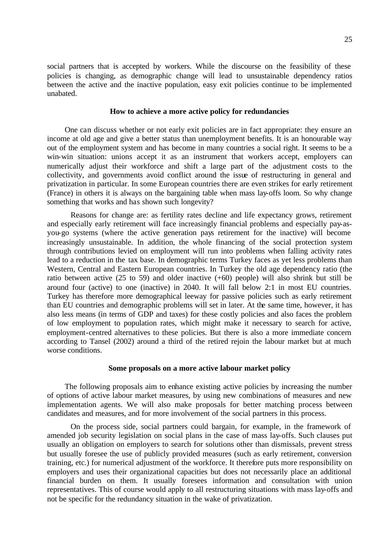social partners that is accepted by workers. While the discourse on the feasibility of these policies is changing, as demographic change will lead to unsustainable dependency ratios between the active and the inactive population, easy exit policies continue to be implemented unabated.

#### **How to achieve a more active policy for redundancies**

One can discuss whether or not early exit policies are in fact appropriate: they ensure an income at old age and give a better status than unemployment benefits. It is an honourable way out of the employment system and has become in many countries a social right. It seems to be a win-win situation: unions accept it as an instrument that workers accept, employers can numerically adjust their workforce and shift a large part of the adjustment costs to the collectivity, and governments avoid conflict around the issue of restructuring in general and privatization in particular. In some European countries there are even strikes for early retirement (France) in others it is always on the bargaining table when mass lay-offs loom. So why change something that works and has shown such longevity?

Reasons for change are: as fertility rates decline and life expectancy grows, retirement and especially early retirement will face increasingly financial problems and especially pay-asyou-go systems (where the active generation pays retirement for the inactive) will become increasingly unsustainable. In addition, the whole financing of the social protection system through contributions levied on employment will run into problems when falling activity rates lead to a reduction in the tax base. In demographic terms Turkey faces as yet less problems than Western, Central and Eastern European countries. In Turkey the old age dependency ratio (the ratio between active  $(25 \text{ to } 59)$  and older inactive  $(+60)$  people) will also shrink but still be around four (active) to one (inactive) in 2040. It will fall below 2:1 in most EU countries. Turkey has therefore more demographical leeway for passive policies such as early retirement than EU countries and demographic problems will set in later. At the same time, however, it has also less means (in terms of GDP and taxes) for these costly policies and also faces the problem of low employment to population rates, which might make it necessary to search for active, employment-centred alternatives to these policies. But there is also a more immediate concern according to Tansel (2002) around a third of the retired rejoin the labour market but at much worse conditions.

#### **Some proposals on a more active labour market policy**

The following proposals aim to enhance existing active policies by increasing the number of options of active labour market measures, by using new combinations of measures and new implementation agents. We will also make proposals for better matching process between candidates and measures, and for more involvement of the social partners in this process.

On the process side, social partners could bargain, for example, in the framework of amended job security legislation on social plans in the case of mass lay-offs. Such clauses put usually an obligation on employers to search for solutions other than dismissals, prevent stress but usually foresee the use of publicly provided measures (such as early retirement, conversion training, etc.) for numerical adjustment of the workforce. It therefore puts more responsibility on employers and uses their organizational capacities but does not necessarily place an additional financial burden on them. It usually foresees information and consultation with union representatives. This of course would apply to all restructuring situations with mass lay-offs and not be specific for the redundancy situation in the wake of privatization.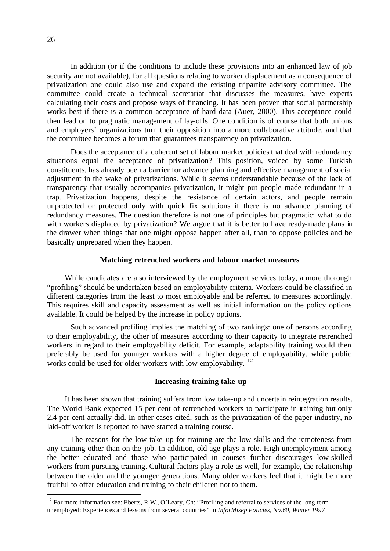In addition (or if the conditions to include these provisions into an enhanced law of job security are not available), for all questions relating to worker displacement as a consequence of privatization one could also use and expand the existing tripartite advisory committee. The committee could create a technical secretariat that discusses the measures, have experts calculating their costs and propose ways of financing. It has been proven that social partnership works best if there is a common acceptance of hard data (Auer, 2000). This acceptance could then lead on to pragmatic management of lay-offs. One condition is of course that both unions and employers' organizations turn their opposition into a more collaborative attitude, and that the committee becomes a forum that guarantees transparency on privatization.

Does the acceptance of a coherent set of labour market policies that deal with redundancy situations equal the acceptance of privatization? This position, voiced by some Turkish constituents, has already been a barrier for advance planning and effective management of social adjustment in the wake of privatizations. While it seems understandable because of the lack of transparency that usually accompanies privatization, it might put people made redundant in a trap. Privatization happens, despite the resistance of certain actors, and people remain unprotected or protected only with quick fix solutions if there is no advance planning of redundancy measures. The question therefore is not one of principles but pragmatic: what to do with workers displaced by privatization? We argue that it is better to have ready-made plans in the drawer when things that one might oppose happen after all, than to oppose policies and be basically unprepared when they happen.

#### **Matching retrenched workers and labour market measures**

While candidates are also interviewed by the employment services today, a more thorough "profiling" should be undertaken based on employability criteria. Workers could be classified in different categories from the least to most employable and be referred to measures accordingly. This requires skill and capacity assessment as well as initial information on the policy options available. It could be helped by the increase in policy options.

Such advanced profiling implies the matching of two rankings: one of persons according to their employability, the other of measures according to their capacity to integrate retrenched workers in regard to their employability deficit. For example, adaptability training would then preferably be used for younger workers with a higher degree of employability, while public works could be used for older workers with low employability. <sup>12</sup>

#### **Increasing training take-up**

It has been shown that training suffers from low take-up and uncertain reintegration results. The World Bank expected 15 per cent of retrenched workers to participate in training but only 2.4 per cent actually did. In other cases cited, such as the privatization of the paper industry, no laid-off worker is reported to have started a training course.

The reasons for the low take-up for training are the low skills and the remoteness from any training other than on-the-job. In addition, old age plays a role. High unemployment among the better educated and those who participated in courses further discourages low-skilled workers from pursuing training. Cultural factors play a role as well, for example, the relationship between the older and the younger generations. Many older workers feel that it might be more fruitful to offer education and training to their children not to them.

 $12$  For more information see: Eberts, R.W., O'Leary, Ch: "Profiling and referral to services of the long-term unemployed: Experiences and lessons from several countries" in *InforMisep Policies, No.60, Winter 1997*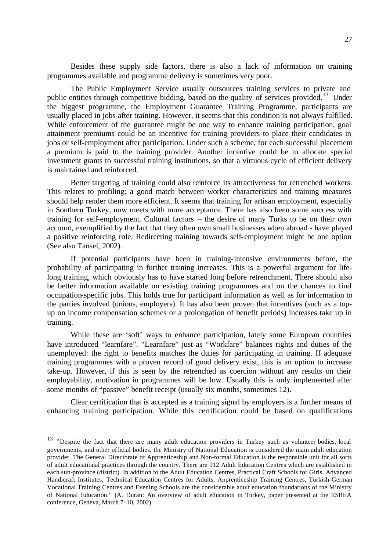Besides these supply side factors, there is also a lack of information on training programmes available and programme delivery is sometimes very poor.

The Public Employment Service usually outsources training services to private and public entities through competitive bidding, based on the quality of services provided.<sup>13</sup> Under the biggest programme, the Employment Guarantee Training Programme, participants are usually placed in jobs after training. However, it seems that this condition is not always fulfilled. While enforcement of the guarantee might be one way to enhance training participation, goal attainment premiums could be an incentive for training providers to place their candidates in jobs or self-employment after participation. Under such a scheme, for each successful placement a premium is paid to the training provider. Another incentive could be to allocate special investment grants to successful training institutions, so that a virtuous cycle of efficient delivery is maintained and reinforced.

Better targeting of training could also reinforce its attractiveness for retrenched workers. This relates to profiling: a good match between worker characteristics and training measures should help render them more efficient. It seems that training for artisan employment, especially in Southern Turkey, now meets with more acceptance. There has also been some success with training for self-employment. Cultural factors – the desire of many Turks to be on their own account, exemplified by the fact that they often own small businesses when abroad - have played a positive reinforcing role. Redirecting training towards self-employment might be one option (See also Tansel, 2002).

If potential participants have been in training-intensive environments before, the probability of participating in further training increases. This is a powerful argument for lifelong training, which obviously has to have started long before retrenchment. There should also be better information available on existing training programmes and on the chances to find occupation-specific jobs. This holds true for participant information as well as for information to the parties involved (unions, employers). It has also been proven that incentives (such as a topup on income compensation schemes or a prolongation of benefit periods) increases take up in training.

While these are 'soft' ways to enhance participation, lately some European countries have introduced "learnfare". "Learnfare" just as "Workfare" balances rights and duties of the unemployed: the right to benefits matches the duties for participating in training. If adequate training programmes with a proven record of good delivery exist, this is an option to increase take-up. However, if this is seen by the retrenched as coercion without any results on their employability, motivation in programmes will be low. Usually this is only implemented after some months of "passive" benefit receipt (usually six months, sometimes 12).

Clear certification that is accepted as a training signal by employers is a further means of enhancing training participation. While this certification could be based on qualifications

<sup>&</sup>lt;sup>13</sup> "Despite the fact that there are many adult education providers in Turkey such as volunteer bodies, local governments, and other official bodies, the Ministry of National Education is considered the main adult education provider. The General Directorate of Apprenticeship and Non-formal Education is the responsible unit for all sorts of adult educational practices through the country. There are 912 Adult Education Centres which are established in each sub-province (district). In addition to the Adult Education Centres, Practical Craft Schools for Girls, Advanced Handicraft Institutes, Technical Education Centres for Adults, Apprenticeship Training Centres, Turkish-German Vocational Training Centres and Evening Schools are the considerable adult education foundations of the Ministry of National Education." (A. Duran: An overview of adult education in Turkey, paper presented at the ESREA conference, Geneva, March 7-10, 2002)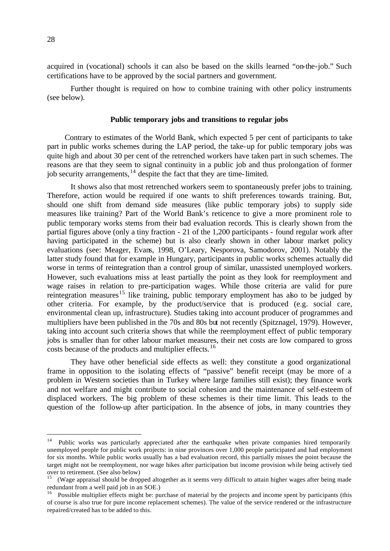acquired in (vocational) schools it can also be based on the skills learned "on-the-job." Such certifications have to be approved by the social partners and government.

Further thought is required on how to combine training with other policy instruments (see below).

#### **Public temporary jobs and transitions to regular jobs**

Contrary to estimates of the World Bank, which expected 5 per cent of participants to take part in public works schemes during the LAP period, the take-up for public temporary jobs was quite high and about 30 per cent of the retrenched workers have taken part in such schemes. The reasons are that they seem to signal continuity in a public job and thus prolongation of former job security arrangements, $^{14}$  despite the fact that they are time-limited.

It shows also that most retrenched workers seem to spontaneously prefer jobs to training. Therefore, action would be required if one wants to shift preferences towards training. But, should one shift from demand side measures (like public temporary jobs) to supply side measures like training? Part of the World Bank's reticence to give a more prominent role to public temporary works stems from their bad evaluation records. This is clearly shown from the partial figures above (only a tiny fraction - 21 of the 1,200 participants - found regular work after having participated in the scheme) but is also clearly shown in other labour market policy evaluations (see: Meager, Evans, 1998, O'Leary, Nesporova, Samodorov, 2001). Notably the latter study found that for example in Hungary, participants in public works schemes actually did worse in terms of reintegration than a control group of similar, unassisted unemployed workers. However, such evaluations miss at least partially the point as they look for reemployment and wage raises in relation to pre-participation wages. While those criteria are valid for pure reintegration measures<sup>15</sup> like training, public temporary employment has also to be judged by other criteria. For example, by the product/service that is produced (e.g. social care, environmental clean up, infrastructure). Studies taking into account producer of programmes and multipliers have been published in the 70s and 80s but not recently (Spitznagel, 1979). However, taking into account such criteria shows that while the reemployment effect of public temporary jobs is smaller than for other labour market measures, their net costs are low compared to gross costs because of the products and multiplier effects.<sup>16</sup>

They have other beneficial side effects as well: they constitute a good organizational frame in opposition to the isolating effects of "passive" benefit receipt (may be more of a problem in Western societies than in Turkey where large families still exist); they finance work and not welfare and might contribute to social cohesion and the maintenance of self-esteem of displaced workers. The big problem of these schemes is their time limit. This leads to the question of the follow-up after participation. In the absence of jobs, in many countries they

<sup>&</sup>lt;sup>14</sup> Public works was particularly appreciated after the earthquake when private companies hired temporarily unemployed people for public work projects: in nine provinces over 1,000 people participated and had employment for six months. While public works usually has a bad evaluation record, this partially misses the point because the target might not be reemployment, nor wage hikes after participation but income provision while being actively tied over to retirement. (See also below)

<sup>15</sup> (Wage appraisal should be dropped altogether as it seems very difficult to attain higher wages after being made redundant from a well paid job in an SOE.)

<sup>&</sup>lt;sup>16</sup> Possible multiplier effects might be: purchase of material by the projects and income spent by participants (this of course is also true for pure income replacement schemes). The value of the service rendered or the infrastructure repaired/created has to be added to this.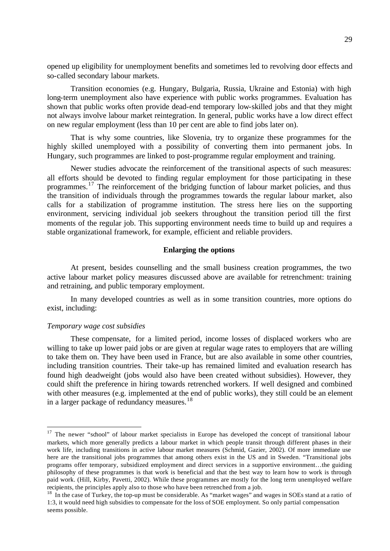opened up eligibility for unemployment benefits and sometimes led to revolving door effects and so-called secondary labour markets.

Transition economies (e.g. Hungary, Bulgaria, Russia, Ukraine and Estonia) with high long-term unemployment also have experience with public works programmes. Evaluation has shown that public works often provide dead-end temporary low-skilled jobs and that they might not always involve labour market reintegration. In general, public works have a low direct effect on new regular employment (less than 10 per cent are able to find jobs later on).

That is why some countries, like Slovenia, try to organize these programmes for the highly skilled unemployed with a possibility of converting them into permanent jobs. In Hungary, such programmes are linked to post-programme regular employment and training.

Newer studies advocate the reinforcement of the transitional aspects of such measures: all efforts should be devoted to finding regular employment for those participating in these programmes.<sup>17</sup> The reinforcement of the bridging function of labour market policies, and thus the transition of individuals through the programmes towards the regular labour market, also calls for a stabilization of programme institution. The stress here lies on the supporting environment, servicing individual job seekers throughout the transition period till the first moments of the regular job. This supporting environment needs time to build up and requires a stable organizational framework, for example, efficient and reliable providers.

#### **Enlarging the options**

At present, besides counselling and the small business creation programmes, the two active labour market policy measures discussed above are available for retrenchment: training and retraining, and public temporary employment.

In many developed countries as well as in some transition countries, more options do exist, including:

#### *Temporary wage cost subsidies*

l

These compensate, for a limited period, income losses of displaced workers who are willing to take up lower paid jobs or are given at regular wage rates to employers that are willing to take them on. They have been used in France, but are also available in some other countries, including transition countries. Their take-up has remained limited and evaluation research has found high deadweight (jobs would also have been created without subsidies). However, they could shift the preference in hiring towards retrenched workers. If well designed and combined with other measures (e.g. implemented at the end of public works), they still could be an element in a larger package of redundancy measures.<sup>18</sup>

<sup>&</sup>lt;sup>17</sup> The newer "school" of labour market specialists in Europe has developed the concept of transitional labour markets, which more generally predicts a labour market in which people transit through different phases in their work life, including transitions in active labour market measures (Schmid, Gazier, 2002). Of more immediate use here are the transitional jobs programmes that among others exist in the US and in Sweden. "Transitional jobs programs offer temporary, subsidized employment and direct services in a supportive environment…the guiding philosophy of these programmes is that work is beneficial and that the best way to learn how to work is through paid work. (Hill, Kirby, Pavetti, 2002). While these programmes are mostly for the long term unemployed welfare recipients, the principles apply also to those who have been retrenched from a job.

 $18$  In the case of Turkey, the top-up must be considerable. As "market wages" and wages in SOEs stand at a ratio of 1:3, it would need high subsidies to compensate for the loss of SOE employment. So only partial compensation seems possible.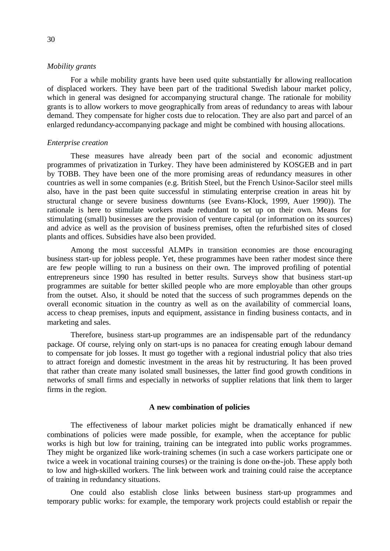#### *Mobility grants*

For a while mobility grants have been used quite substantially for allowing reallocation of displaced workers. They have been part of the traditional Swedish labour market policy, which in general was designed for accompanying structural change. The rationale for mobility grants is to allow workers to move geographically from areas of redundancy to areas with labour demand. They compensate for higher costs due to relocation. They are also part and parcel of an enlarged redundancy-accompanying package and might be combined with housing allocations.

#### *Enterprise creation*

These measures have already been part of the social and economic adjustment programmes of privatization in Turkey. They have been administered by KOSGEB and in part by TOBB. They have been one of the more promising areas of redundancy measures in other countries as well in some companies (e.g. British Steel, but the French Usinor-Sacilor steel mills also, have in the past been quite successful in stimulating enterprise creation in areas hit by structural change or severe business downturns (see Evans-Klock, 1999, Auer 1990)). The rationale is here to stimulate workers made redundant to set up on their own. Means for stimulating (small) businesses are the provision of venture capital (or information on its sources) and advice as well as the provision of business premises, often the refurbished sites of closed plants and offices. Subsidies have also been provided.

Among the most successful ALMPs in transition economies are those encouraging business start-up for jobless people. Yet, these programmes have been rather modest since there are few people willing to run a business on their own. The improved profiling of potential entrepreneurs since 1990 has resulted in better results. Surveys show that business start-up programmes are suitable for better skilled people who are more employable than other groups from the outset. Also, it should be noted that the success of such programmes depends on the overall economic situation in the country as well as on the availability of commercial loans, access to cheap premises, inputs and equipment, assistance in finding business contacts, and in marketing and sales.

Therefore, business start-up programmes are an indispensable part of the redundancy package. Of course, relying only on start-ups is no panacea for creating enough labour demand to compensate for job losses. It must go together with a regional industrial policy that also tries to attract foreign and domestic investment in the areas hit by restructuring. It has been proved that rather than create many isolated small businesses, the latter find good growth conditions in networks of small firms and especially in networks of supplier relations that link them to larger firms in the region.

#### **A new combination of policies**

The effectiveness of labour market policies might be dramatically enhanced if new combinations of policies were made possible, for example, when the acceptance for public works is high but low for training, training can be integrated into public works programmes. They might be organized like work-training schemes (in such a case workers participate one or twice a week in vocational training courses) or the training is done on-the-job. These apply both to low and high-skilled workers. The link between work and training could raise the acceptance of training in redundancy situations.

One could also establish close links between business start-up programmes and temporary public works: for example, the temporary work projects could establish or repair the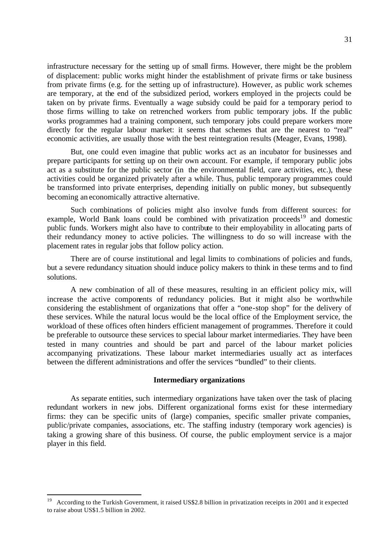infrastructure necessary for the setting up of small firms. However, there might be the problem of displacement: public works might hinder the establishment of private firms or take business from private firms (e.g. for the setting up of infrastructure). However, as public work schemes are temporary, at the end of the subsidized period, workers employed in the projects could be taken on by private firms. Eventually a wage subsidy could be paid for a temporary period to those firms willing to take on retrenched workers from public temporary jobs. If the public works programmes had a training component, such temporary jobs could prepare workers more directly for the regular labour market: it seems that schemes that are the nearest to "real" economic activities, are usually those with the best reintegration results (Meager, Evans, 1998).

But, one could even imagine that public works act as an incubator for businesses and prepare participants for setting up on their own account. For example, if temporary public jobs act as a substitute for the public sector (in the environmental field, care activities, etc.), these activities could be organized privately after a while. Thus, public temporary programmes could be transformed into private enterprises, depending initially on public money, but subsequently becoming an economically attractive alternative.

Such combinations of policies might also involve funds from different sources: for example, World Bank loans could be combined with privatization proceeds<sup>19</sup> and domestic public funds. Workers might also have to contribute to their employability in allocating parts of their redundancy money to active policies. The willingness to do so will increase with the placement rates in regular jobs that follow policy action.

There are of course institutional and legal limits to combinations of policies and funds, but a severe redundancy situation should induce policy makers to think in these terms and to find solutions.

A new combination of all of these measures, resulting in an efficient policy mix, will increase the active components of redundancy policies. But it might also be worthwhile considering the establishment of organizations that offer a "one-stop shop" for the delivery of these services. While the natural locus would be the local office of the Employment service, the workload of these offices often hinders efficient management of programmes. Therefore it could be preferable to outsource these services to special labour market intermediaries. They have been tested in many countries and should be part and parcel of the labour market policies accompanying privatizations. These labour market intermediaries usually act as interfaces between the different administrations and offer the services "bundled" to their clients.

#### **Intermediary organizations**

As separate entities, such intermediary organizations have taken over the task of placing redundant workers in new jobs. Different organizational forms exist for these intermediary firms: they can be specific units of (large) companies, specific smaller private companies, public/private companies, associations, etc. The staffing industry (temporary work agencies) is taking a growing share of this business. Of course, the public employment service is a major player in this field.

<sup>19</sup> According to the Turkish Government, it raised US\$2.8 billion in privatization receipts in 2001 and it expected to raise about US\$1.5 billion in 2002.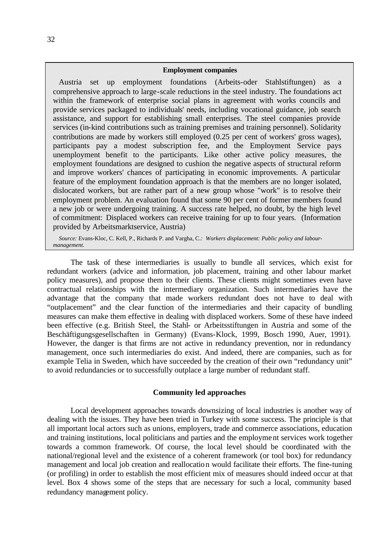#### **Employment companies**

Austria set up employment foundations (Arbeits-oder Stahlstiftungen) as a comprehensive approach to large-scale reductions in the steel industry. The foundations act within the framework of enterprise social plans in agreement with works councils and provide services packaged to individuals' needs, including vocational guidance, job search assistance, and support for establishing small enterprises. The steel companies provide services (in-kind contributions such as training premises and training personnel). Solidarity contributions are made by workers still employed (0.25 per cent of workers' gross wages), participants pay a modest subscription fee, and the Employment Service pays unemployment benefit to the participants. Like other active policy measures, the employment foundations are designed to cushion the negative aspects of structural reform and improve workers' chances of participating in economic improvements. A particular feature of the employment foundation approach is that the members are no longer isolated, dislocated workers, but are rather part of a new group whose "work" is to resolve their employment problem. An evaluation found that some 90 per cent of former members found a new job or were undergoing training. A success rate helped, no doubt, by the high level of commitment: Displaced workers can receive training for up to four years. (Information provided by Arbeitsmarktservice, Austria)

*Source:* Evans-Kloc, C. Kell, P., Richards P. and Vargha, C.*: Workers displacement: Public policy and labourmanagement.*

The task of these intermediaries is usually to bundle all services, which exist for redundant workers (advice and information, job placement, training and other labour market policy measures), and propose them to their clients. These clients might sometimes even have contractual relationships with the intermediary organization. Such intermediaries have the advantage that the company that made workers redundant does not have to deal with "outplacement" and the clear function of the intermediaries and their capacity of bundling measures can make them effective in dealing with displaced workers. Some of these have indeed been effective (e.g. British Steel, the Stahl- or Arbeitsstiftungen in Austria and some of the Beschäftigungsgesellschaften in Germany) (Evans-Klock, 1999, Bosch 1990, Auer, 1991). However, the danger is that firms are not active in redundancy prevention, nor in redundancy management, once such intermediaries do exist. And indeed, there are companies, such as for example Telia in Sweden, which have succeeded by the creation of their own "redundancy unit" to avoid redundancies or to successfully outplace a large number of redundant staff.

#### **Community led approaches**

Local development approaches towards downsizing of local industries is another way of dealing with the issues. They have been tried in Turkey with some success. The principle is that all important local actors such as unions, employers, trade and commerce associations, education and training institutions, local politicians and parties and the employment services work together towards a common framework. Of course, the local level should be coordinated with the national/regional level and the existence of a coherent framework (or tool box) for redundancy management and local job creation and reallocation would facilitate their efforts. The fine-tuning (or profiling) in order to establish the most efficient mix of measures should indeed occur at that level. Box 4 shows some of the steps that are necessary for such a local, community based redundancy management policy.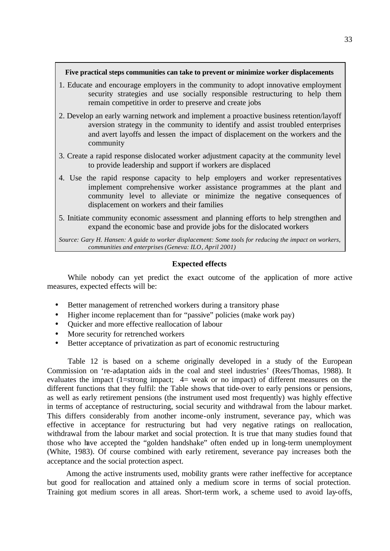#### **Five practical steps communities can take to prevent or minimize worker displacements**

- 1. Educate and encourage employers in the community to adopt innovative employment security strategies and use socially responsible restructuring to help them remain competitive in order to preserve and create jobs
- 2. Develop an early warning network and implement a proactive business retention/layoff aversion strategy in the community to identify and assist troubled enterprises and avert layoffs and lessen the impact of displacement on the workers and the community
- 3. Create a rapid response dislocated worker adjustment capacity at the community level to provide leadership and support if workers are displaced
- 4. Use the rapid response capacity to help employers and worker representatives implement comprehensive worker assistance programmes at the plant and community level to alleviate or minimize the negative consequences of displacement on workers and their families
- 5. Initiate community economic assessment and planning efforts to help strengthen and expand the economic base and provide jobs for the dislocated workers

*Source: Gary H. Hansen: A guide to worker displacement: Some tools for reducing the impact on workers, communities and enterprises (Geneva: ILO, April 2001)*

## **Expected effects**

While nobody can yet predict the exact outcome of the application of more active measures, expected effects will be:

- Better management of retrenched workers during a transitory phase
- Higher income replacement than for "passive" policies (make work pay)
- Quicker and more effective reallocation of labour
- More security for retrenched workers
- Better acceptance of privatization as part of economic restructuring

Table 12 is based on a scheme originally developed in a study of the European Commission on 're-adaptation aids in the coal and steel industries' (Rees/Thomas, 1988). It evaluates the impact (1=strong impact; 4= weak or no impact) of different measures on the different functions that they fulfil: the Table shows that tide-over to early pensions or pensions, as well as early retirement pensions (the instrument used most frequently) was highly effective in terms of acceptance of restructuring, social security and withdrawal from the labour market. This differs considerably from another income-only instrument, severance pay, which was effective in acceptance for restructuring but had very negative ratings on reallocation, withdrawal from the labour market and social protection. It is true that many studies found that those who have accepted the "golden handshake" often ended up in long-term unemployment (White, 1983). Of course combined with early retirement, severance pay increases both the acceptance and the social protection aspect.

 Among the active instruments used, mobility grants were rather ineffective for acceptance but good for reallocation and attained only a medium score in terms of social protection. Training got medium scores in all areas. Short-term work, a scheme used to avoid lay-offs,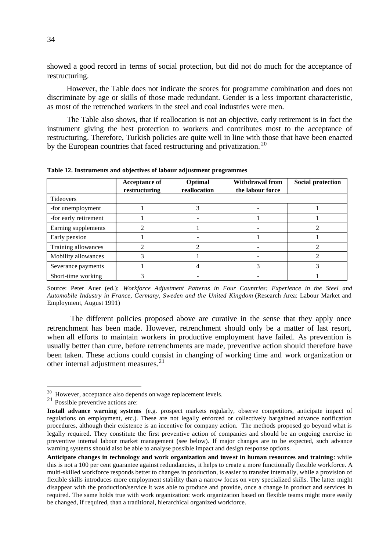showed a good record in terms of social protection, but did not do much for the acceptance of restructuring.

 However, the Table does not indicate the scores for programme combination and does not discriminate by age or skills of those made redundant. Gender is a less important characteristic, as most of the retrenched workers in the steel and coal industries were men.

 The Table also shows, that if reallocation is not an objective, early retirement is in fact the instrument giving the best protection to workers and contributes most to the acceptance of restructuring. Therefore, Turkish policies are quite well in line with those that have been enacted by the European countries that faced restructuring and privatization.<sup>20</sup>

|                       | <b>Acceptance of</b><br>restructuring | Optimal<br>reallocation | <b>Withdrawal from</b><br>the labour force | <b>Social protection</b> |
|-----------------------|---------------------------------------|-------------------------|--------------------------------------------|--------------------------|
| Tideovers             |                                       |                         |                                            |                          |
| -for unemployment     |                                       |                         |                                            |                          |
| -for early retirement |                                       |                         |                                            |                          |
| Earning supplements   |                                       |                         |                                            |                          |
| Early pension         |                                       |                         |                                            |                          |
| Training allowances   |                                       |                         |                                            |                          |
| Mobility allowances   |                                       |                         |                                            |                          |
| Severance payments    |                                       |                         | 3                                          |                          |
| Short-time working    |                                       |                         |                                            |                          |

**Table 12. Instruments and objectives of labour adjustment programmes**

Source: Peter Auer (ed.): *Workforce Adjustment Patterns in Four Countries: Experience in the Steel and Automobile Industry in France, Germany, Sweden and the United Kingdom* (Research Area: Labour Market and Employment, August 1991)

The different policies proposed above are curative in the sense that they apply once retrenchment has been made. However, retrenchment should only be a matter of last resort, when all efforts to maintain workers in productive employment have failed. As prevention is usually better than cure, before retrenchments are made, preventive action should therefore have been taken. These actions could consist in changing of working time and work organization or other internal adjustment measures.<sup>21</sup>

 $^{20}$  However, acceptance also depends on wage replacement levels.

<sup>21</sup> Possible preventive actions are:

**Install advance warning systems** (e.g. prospect markets regularly, observe competitors, anticipate impact of regulations on employment, etc.). These are not legally enforced or collectively bargained advance notification procedures, although their existence is an incentive for company action. The methods proposed go beyond what is legally required. They constitute the first preventive action of companies and should be an ongoing exercise in preventive internal labour market management (see below). If major changes are to be expected, such advance warning systems should also be able to analyse possible impact and design response options.

**Anticipate changes in technology and work organization and inve st in human resources and training**: while this is not a 100 per cent guarantee against redundancies, it helps to create a more functionally flexible workforce. A multi-skilled workforce responds better to changes in production, is easier to transfer internally, while a provision of flexible skills introduces more employment stability than a narrow focus on very specialized skills. The latter might disappear with the production/service it was able to produce and provide, once a change in product and services in required. The same holds true with work organization: work organization based on flexible teams might more easily be changed, if required, than a traditional, hierarchical organized workforce.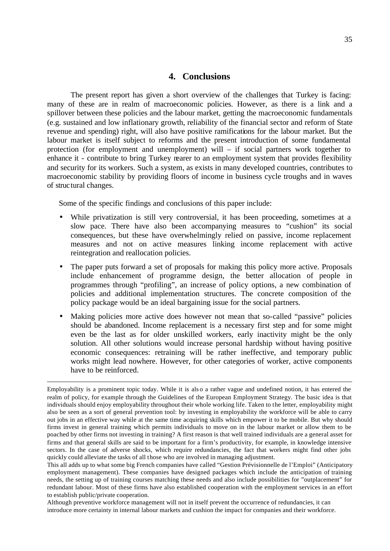## **4. Conclusions**

The present report has given a short overview of the challenges that Turkey is facing: many of these are in realm of macroeconomic policies. However, as there is a link and a spillover between these policies and the labour market, getting the macroeconomic fundamentals (e.g. sustained and low inflationary growth, reliability of the financial sector and reform of State revenue and spending) right, will also have positive ramifications for the labour market. But the labour market is itself subject to reforms and the present introduction of some fundamental protection (for employment and unemployment) will – if social partners work together to enhance it - contribute to bring Turkey nearer to an employment system that provides flexibility and security for its workers. Such a system, as exists in many developed countries, contributes to macroeconomic stability by providing floors of income in business cycle troughs and in waves of structural changes.

Some of the specific findings and conclusions of this paper include:

l

- While privatization is still very controversial, it has been proceeding, sometimes at a slow pace. There have also been accompanying measures to "cushion" its social consequences, but these have overwhelmingly relied on passive, income replacement measures and not on active measures linking income replacement with active reintegration and reallocation policies.
- The paper puts forward a set of proposals for making this policy more active. Proposals include enhancement of programme design, the better allocation of people in programmes through "profiling", an increase of policy options, a new combination of policies and additional implementation structures. The concrete composition of the policy package would be an ideal bargaining issue for the social partners.
- Making policies more active does however not mean that so-called "passive" policies should be abandoned. Income replacement is a necessary first step and for some might even be the last as for older unskilled workers, early inactivity might be the only solution. All other solutions would increase personal hardship without having positive economic consequences: retraining will be rather ineffective, and temporary public works might lead nowhere. However, for other categories of worker, active components have to be reinforced.

Although preventive workforce management will not in itself prevent the occurrence of redundancies, it can introduce more certainty in internal labour markets and cushion the impact for companies and their workforce.

Employability is a prominent topic today. While it is als o a rather vague and undefined notion, it has entered the realm of policy, for example through the Guidelines of the European Employment Strategy. The basic idea is that individuals should enjoy employability throughout their whole working life. Taken to the letter, employability might also be seen as a sort of general prevention tool: by investing in employability the workforce will be able to carry out jobs in an effective way while at the same time acquiring skills which empower it to be mobile. But why should firms invest in general training which permits individuals to move on in the labour market or allow them to be poached by other firms not investing in training? A first reason is that well trained individuals are a general asset for firms and that general skills are said to be important for a firm's productivity, for example, in knowledge intensive sectors. In the case of adverse shocks, which require redundancies, the fact that workers might find other jobs quickly could alleviate the tasks of all those who are involved in managing adjustment.

This all adds up to what some big French companies have called "Gestion Prévisionnelle de l'Emploi" (Anticipatory employment management). These companies have designed packages which include the anticipation of training needs, the setting up of training courses matching these needs and also include possibilities for "outplacement" for redundant labour. Most of these firms have also established cooperation with the employment services in an effort to establish public/private cooperation.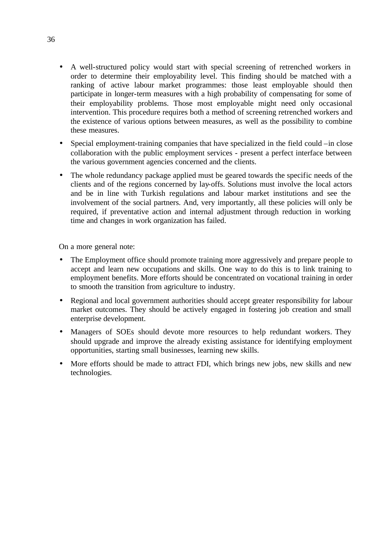- A well-structured policy would start with special screening of retrenched workers in order to determine their employability level. This finding should be matched with a ranking of active labour market programmes: those least employable should then participate in longer-term measures with a high probability of compensating for some of their employability problems. Those most employable might need only occasional intervention. This procedure requires both a method of screening retrenched workers and the existence of various options between measures, as well as the possibility to combine these measures.
- Special employment-training companies that have specialized in the field could –in close collaboration with the public employment services - present a perfect interface between the various government agencies concerned and the clients.
- The whole redundancy package applied must be geared towards the specific needs of the clients and of the regions concerned by lay-offs. Solutions must involve the local actors and be in line with Turkish regulations and labour market institutions and see the involvement of the social partners. And, very importantly, all these policies will only be required, if preventative action and internal adjustment through reduction in working time and changes in work organization has failed.

On a more general note:

- The Employment office should promote training more aggressively and prepare people to accept and learn new occupations and skills. One way to do this is to link training to employment benefits. More efforts should be concentrated on vocational training in order to smooth the transition from agriculture to industry.
- Regional and local government authorities should accept greater responsibility for labour market outcomes. They should be actively engaged in fostering job creation and small enterprise development.
- Managers of SOEs should devote more resources to help redundant workers. They should upgrade and improve the already existing assistance for identifying employment opportunities, starting small businesses, learning new skills.
- More efforts should be made to attract FDI, which brings new jobs, new skills and new technologies.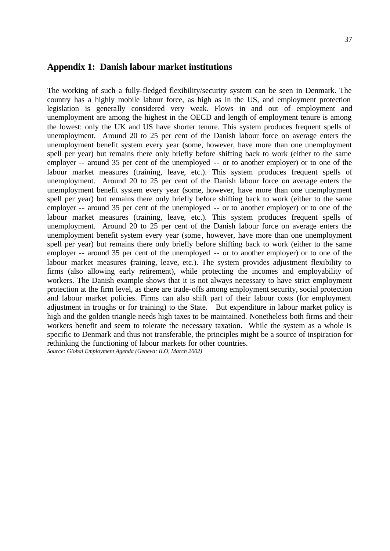## **Appendix 1: Danish labour market institutions**

The working of such a fully-fledged flexibility/security system can be seen in Denmark. The country has a highly mobile labour force, as high as in the US, and employment protection legislation is generally considered very weak. Flows in and out of employment and unemployment are among the highest in the OECD and length of employment tenure is among the lowest: only the UK and US have shorter tenure. This system produces frequent spells of unemployment. Around 20 to 25 per cent of the Danish labour force on average enters the unemployment benefit system every year (some, however, have more than one unemployment spell per year) but remains there only briefly before shifting back to work (either to the same employer -- around 35 per cent of the unemployed -- or to another employer) or to one of the labour market measures (training, leave, etc.). This system produces frequent spells of unemployment. Around 20 to 25 per cent of the Danish labour force on average enters the unemployment benefit system every year (some, however, have more than one unemployment spell per year) but remains there only briefly before shifting back to work (either to the same employer -- around 35 per cent of the unemployed -- or to another employer) or to one of the labour market measures (training, leave, etc.). This system produces frequent spells of unemployment. Around 20 to 25 per cent of the Danish labour force on average enters the unemployment benefit system every year (some , however, have more than one unemployment spell per year) but remains there only briefly before shifting back to work (either to the same employer -- around 35 per cent of the unemployed -- or to another employer) or to one of the labour market measures *training*, leave, etc.). The system provides adjustment flexibility to firms (also allowing early retirement), while protecting the incomes and employability of workers. The Danish example shows that it is not always necessary to have strict employment protection at the firm level, as there are trade-offs among employment security, social protection and labour market policies. Firms can also shift part of their labour costs (for employment adjustment in troughs or for training) to the State. But expenditure in labour market policy is high and the golden triangle needs high taxes to be maintained. Nonetheless both firms and their workers benefit and seem to tolerate the necessary taxation. While the system as a whole is specific to Denmark and thus not transferable, the principles might be a source of inspiration for rethinking the functioning of labour markets for other countries. *Source: Global Employment Agenda (Geneva: ILO, March 2002)*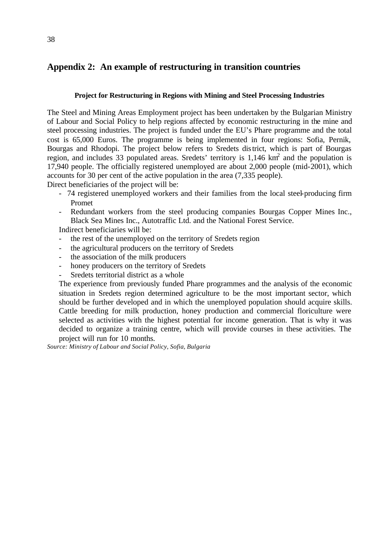## **Appendix 2: An example of restructuring in transition countries**

## **Project for Restructuring in Regions with Mining and Steel Processing Industries**

The Steel and Mining Areas Employment project has been undertaken by the Bulgarian Ministry of Labour and Social Policy to help regions affected by economic restructuring in the mine and steel processing industries. The project is funded under the EU's Phare programme and the total cost is 65,000 Euros. The programme is being implemented in four regions: Sofia, Pernik, Bourgas and Rhodopi. The project below refers to Sredets district, which is part of Bourgas region, and includes 33 populated areas. Sredets' territory is  $1,146 \text{ km}^2$  and the population is 17,940 people. The officially registered unemployed are about 2,000 people (mid-2001), which accounts for 30 per cent of the active population in the area (7,335 people).

Direct beneficiaries of the project will be:

- 74 registered unemployed workers and their families from the local steel-producing firm Promet
- Redundant workers from the steel producing companies Bourgas Copper Mines Inc., Black Sea Mines Inc., Autotraffic Ltd. and the National Forest Service.

Indirect beneficiaries will be:

- the rest of the unemployed on the territory of Sredets region
- the agricultural producers on the territory of Sredets
- the association of the milk producers
- honey producers on the territory of Sredets
- Sredets territorial district as a whole

The experience from previously funded Phare programmes and the analysis of the economic situation in Sredets region determined agriculture to be the most important sector, which should be further developed and in which the unemployed population should acquire skills. Cattle breeding for milk production, honey production and commercial floriculture were selected as activities with the highest potential for income generation. That is why it was decided to organize a training centre, which will provide courses in these activities. The project will run for 10 months.

*Source: Ministry of Labour and Social Policy, Sofia, Bulgaria*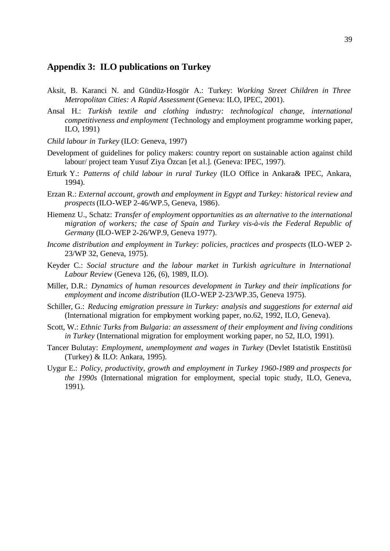## **Appendix 3: ILO publications on Turkey**

- Aksit, B. Karanci N. and Gündüz-Hosgör A.: Turkey: *Working Street Children in Three Metropolitan Cities: A Rapid Assessment* (Geneva: ILO, IPEC, 2001).
- Ansal H.: *Turkish textile and clothing industry: technological change, international competitiveness and employment* (Technology and employment programme working paper, ILO, 1991)
- *Child labour in Turkey* (ILO: Geneva, 1997)
- Development of guidelines for policy makers: country report on sustainable action against child labour/ project team Yusuf Ziya Özcan [et al.]. (Geneva: IPEC, 1997).
- Erturk Y.: *Patterns of child labour in rural Turkey* (ILO Office in Ankara& IPEC, Ankara, 1994).
- Erzan R.: *External account, growth and employment in Egypt and Turkey: historical review and prospects* (ILO-WEP 2-46/WP.5, Geneva, 1986).
- Hiemenz U., Schatz: *Transfer of employment opportunities as an alternative to the international migration of workers; the case of Spain and Turkey vis-à-vis the Federal Republic of Germany* (ILO-WEP 2-26/WP.9, Geneva 1977).
- *Income distribution and employment in Turkey: policies, practices and prospects* (ILO-WEP 2- 23/WP 32, Geneva, 1975).
- Keyder C.: *Social structure and the labour market in Turkish agriculture in International Labour Review* (Geneva 126, (6), 1989, ILO).
- Miller, D.R.: *Dynamics of human resources development in Turkey and their implications for employment and income distribution* (ILO-WEP 2-23/WP.35, Geneva 1975).
- Schiller, G.: *Reducing emigration pressure in Turkey: analysis and suggestions for external aid* (International migration for employment working paper, no.62, 1992, ILO, Geneva).
- Scott, W.: *Ethnic Turks from Bulgaria: an assessment of their employment and living conditions in Turkey* (International migration for employment working paper, no 52, ILO, 1991).
- Tancer Bulutay: *Employment, unemployment and wages in Turkey* (Devlet Istatistik Enstitüsü (Turkey) & ILO: Ankara, 1995).
- Uygur E.: *Policy, productivity, growth and employment in Turkey 1960-1989 and prospects for the 1990s* (International migration for employment, special topic study, ILO, Geneva, 1991).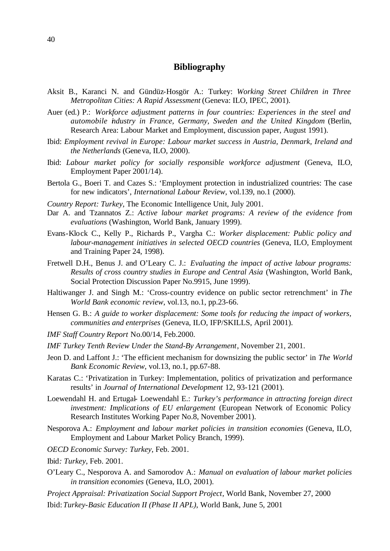## **Bibliography**

- Aksit B., Karanci N. and Gündüz-Hosgör A.: Turkey: *Working Street Children in Three Metropolitan Cities: A Rapid Assessment* (Geneva: ILO, IPEC, 2001).
- Auer (ed.) P.: *Workforce adjustment patterns in four countries: Experiences in the steel and automobile industry in France, Germany, Sweden and the United Kingdom* (Berlin, Research Area: Labour Market and Employment, discussion paper, August 1991).
- Ibid: *Employment revival in Europe: Labour market success in Austria, Denmark, Ireland and the Netherlands* (Geneva, ILO, 2000).
- Ibid: *Labour market policy for socially responsible workforce adjustment* (Geneva, ILO, Employment Paper 2001/14).
- Bertola G., Boeri T. and Cazes S.: 'Employment protection in industrialized countries: The case for new indicators', *International Labour Review*, vol.139, no.1 (2000).
- *Country Report: Turkey*, The Economic Intelligence Unit, July 2001.
- Dar A. and Tzannatos Z.: *Active labour market programs: A review of the evidence from evaluations* (Washington, World Bank, January 1999).
- Evans-Klock C., Kelly P., Richards P., Vargha C.: *Worker displacement: Public policy and labour-management initiatives in selected OECD countries* (Geneva, ILO, Employment and Training Paper 24, 1998).
- Fretwell D.H., Benus J. and O'Leary C. J.: *Evaluating the impact of active labour programs: Results of cross country studies in Europe and Central Asia* (Washington, World Bank, Social Protection Discussion Paper No.9915, June 1999).
- Haltiwanger J. and Singh M.: 'Cross-country evidence on public sector retrenchment' in *The World Bank economic review*, vol.13, no.1, pp.23-66.
- Hensen G. B.: *A guide to worker displacement: Some tools for reducing the impact of workers, communities and enterprises* (Geneva, ILO, IFP/SKILLS, April 2001).
- *IMF Staff Country Report* No.00/14, Feb.2000.
- *IMF Turkey Tenth Review Under the Stand-By Arrangement*, November 21, 2001.
- Jeon D. and Laffont J.: 'The efficient mechanism for downsizing the public sector' in *The World Bank Economic Review*, vol.13, no.1, pp.67-88.
- Karatas C.: 'Privatization in Turkey: Implementation, politics of privatization and performance results' in *Journal of International Development* 12, 93-121 (2001).
- Loewendahl H. and Ertugal- Loewendahl E.: *Turkey's performance in attracting foreign direct investment: Implications of EU enlargement* (European Network of Economic Policy Research Institutes Working Paper No.8, November 2001).
- Nesporova A.: *Employment and labour market policies in transition economies* (Geneva, ILO, Employment and Labour Market Policy Branch, 1999).
- *OECD Economic Survey: Turkey*, Feb. 2001.
- Ibid*: Turkey*, Feb. 2001.
- O'Leary C., Nesporova A. and Samorodov A.: *Manual on evaluation of labour market policies in transition economies* (Geneva, ILO, 2001).
- *Project Appraisal: Privatization Social Support Project*, World Bank, November 27, 2000 Ibid: *Turkey-Basic Education II (Phase II APL)*, World Bank, June 5, 2001